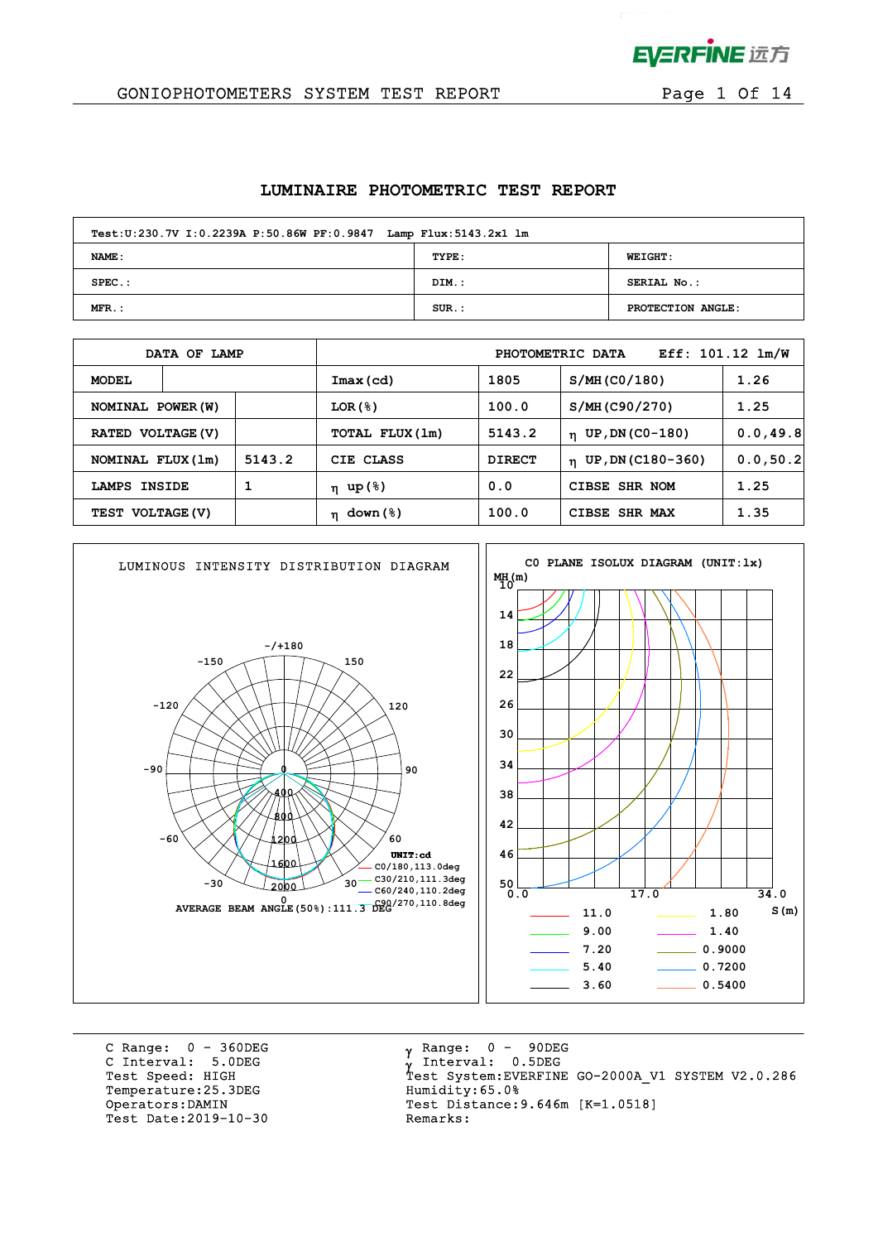

 $\mathbf{r}$ 

### GONIOPHOTOMETERS SYSTEM TEST REPORT FOR Page 1 Of 14

#### **LUMINAIRE PHOTOMETRIC TEST REPORT**

| Test: U:230.7V I: 0.2239A P:50.86W PF: 0.9847 Lamp Flux: 5143.2x1 lm |          |                   |  |  |  |  |  |  |  |
|----------------------------------------------------------------------|----------|-------------------|--|--|--|--|--|--|--|
| <b>NAME:</b>                                                         | TYPE:    | <b>WEIGHT:</b>    |  |  |  |  |  |  |  |
| $SPEC.$ :                                                            | DIM.:    | SERIAL No.:       |  |  |  |  |  |  |  |
| $MFR$ .:                                                             | $SUR.$ : | PROTECTION ANGLE: |  |  |  |  |  |  |  |

|                   | DATA OF LAMP |        |                |               | PHOTOMETRIC DATA      | $Eff: 101.12 \; lm/W$ |
|-------------------|--------------|--------|----------------|---------------|-----------------------|-----------------------|
| <b>MODEL</b>      |              |        | Imax(cd)       | 1805          | S/MH (CO/180)         | 1.26                  |
| NOMINAL POWER (W) |              |        | $LOR({S})$     | 100.0         | S/MH (C90/270)        | 1.25                  |
| RATED VOLTAGE (V) |              |        | TOTAL FLUX(1m) | 5143.2        | $n$ UP, DN (CO-180)   | 0.0, 49.8             |
| NOMINAL FLUX (1m) |              | 5143.2 | CIE CLASS      | <b>DIRECT</b> | $n$ UP, DN (C180-360) | 0.0, 50.2             |
| LAMPS INSIDE      |              |        | η up(%)        | 0.0           | CIBSE SHR NOM         | 1.25                  |
| TEST VOLTAGE (V)  |              |        | down (%)<br>n  | 100.0         | CIBSE SHR MAX         | 1.35                  |



C Range: 0 - 360DEG C Interval: 5.0DEG Temperature: 25.3DEG Humidity: 65.0% Test Date: 2019-10-30

 $\gamma$  Range:  $0 - 90$ DEG Interval: 0.5DEG Test Speed: HIGH Test System:EVERFINE GO-2000A\_V1 SYSTEM V2.0.286 Operators:DAMIN Test Distance:9.646m [K=1.0518]<br>Test Date:2019-10-30 Remarks: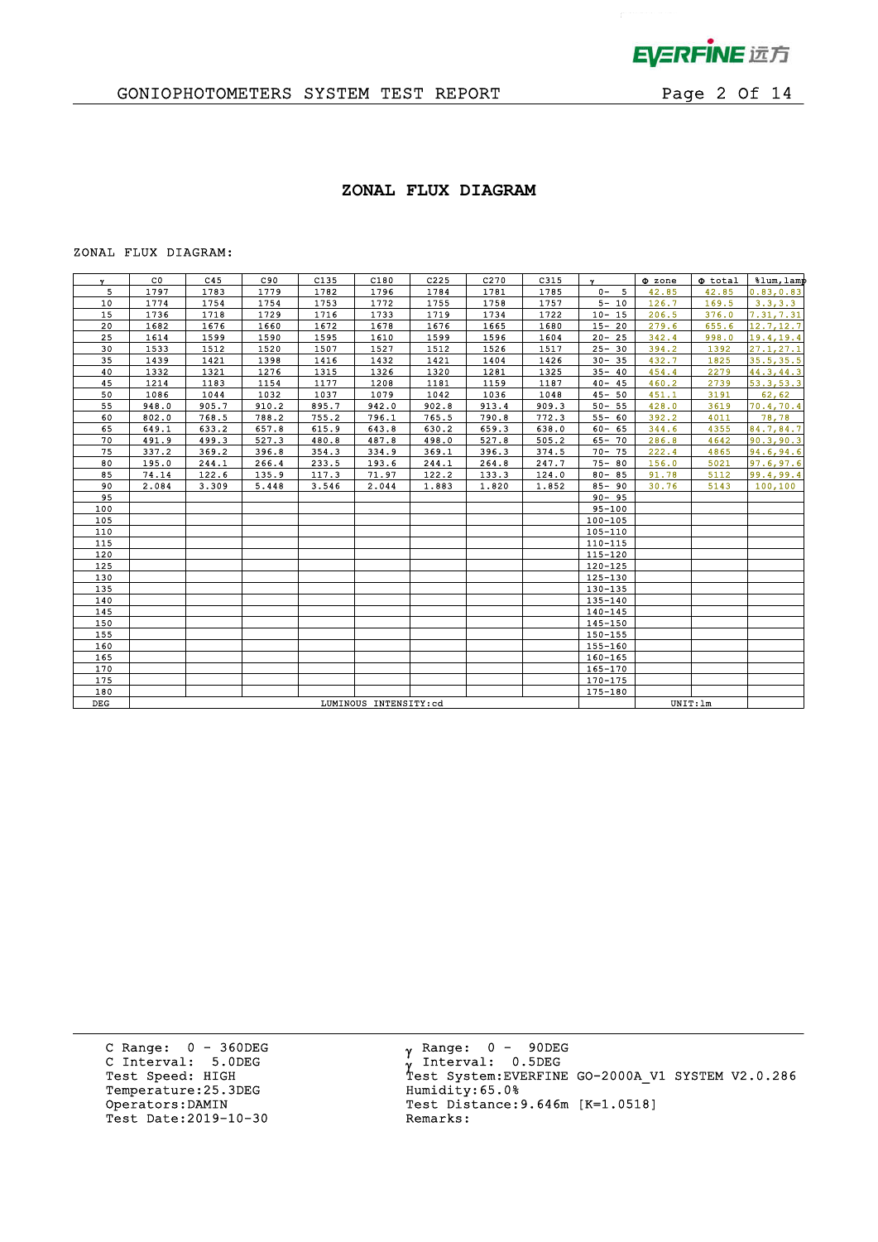

 $\mathbf{p}^{\mathrm{max}}$ 

## GONIOPHOTOMETERS SYSTEM TEST REPORT FOR Page 2 Of 14

### **ZONAL FLUX DIAGRAM**

#### ZONAL FLUX DIAGRAM:

| Y.  | CO.   | C45                   | C90   | C135  | C180  | C225  | C270  | C315  | $\mathbf{v}$ | $\Phi$ zone | $\Phi$ total | %lum, lamp |
|-----|-------|-----------------------|-------|-------|-------|-------|-------|-------|--------------|-------------|--------------|------------|
| 5   | 1797  | 1783                  | 1779  | 1782  | 1796  | 1784  | 1781  | 1785  | 5<br>$0 -$   | 42.85       | 42.85        | 0.83, 0.83 |
| 10  | 1774  | 1754                  | 1754  | 1753  | 1772  | 1755  | 1758  | 1757  | $5 - 10$     | 126.7       | 169.5        | 3.3, 3.3   |
| 15  | 1736  | 1718                  | 1729  | 1716  | 1733  | 1719  | 1734  | 1722  | $10 - 15$    | 206.5       | 376.0        | 7.31, 7.31 |
| 20  | 1682  | 1676                  | 1660  | 1672  | 1678  | 1676  | 1665  | 1680  | $15 - 20$    | 279.6       | 655.6        | 12.7, 12.7 |
| 25  | 1614  | 1599                  | 1590  | 1595  | 1610  | 1599  | 1596  | 1604  | $20 - 25$    | 342.4       | 998.0        | 19.4,19.4  |
| 30  | 1533  | 1512                  | 1520  | 1507  | 1527  | 1512  | 1526  | 1517  | $25 - 30$    | 394.2       | 1392         | 27.1, 27.1 |
| 35  | 1439  | 1421                  | 1398  | 1416  | 1432  | 1421  | 1404  | 1426  | $30 - 35$    | 432.7       | 1825         | 35.5, 35.5 |
| 40  | 1332  | 1321                  | 1276  | 1315  | 1326  | 1320  | 1281  | 1325  | $35 - 40$    | 454.4       | 2279         | 44.3,44.3  |
| 45  | 1214  | 1183                  | 1154  | 1177  | 1208  | 1181  | 1159  | 1187  | $40 - 45$    | 460.2       | 2739         | 53.3,53.3  |
| 50  | 1086  | 1044                  | 1032  | 1037  | 1079  | 1042  | 1036  | 1048  | $45 - 50$    | 451.1       | 3191         | 62, 62     |
| 55  | 948.0 | 905.7                 | 910.2 | 895.7 | 942.0 | 902.8 | 913.4 | 909.3 | $50 - 55$    | 428.0       | 3619         | 70.4,70.4  |
| 60  | 802.0 | 768.5                 | 788.2 | 755.2 | 796.1 | 765.5 | 790.8 | 772.3 | $55 - 60$    | 392.2       | 4011         | 78,78      |
| 65  | 649.1 | 633.2                 | 657.8 | 615.9 | 643.8 | 630.2 | 659.3 | 638.0 | $60 - 65$    | 344.6       | 4355         | 84.7,84.7  |
| 70  | 491.9 | 499.3                 | 527.3 | 480.8 | 487.8 | 498.0 | 527.8 | 505.2 | $65 - 70$    | 286.8       | 4642         | 90.3, 90.3 |
| 75  | 337.2 | 369.2                 | 396.8 | 354.3 | 334.9 | 369.1 | 396.3 | 374.5 | $70 - 75$    | 222.4       | 4865         | 94.6,94.6  |
| 80  | 195.0 | 244.1                 | 266.4 | 233.5 | 193.6 | 244.1 | 264.8 | 247.7 | $75 - 80$    | 156.0       | 5021         | 97.6, 97.6 |
| 85  | 74.14 | 122.6                 | 135.9 | 117.3 | 71.97 | 122.2 | 133.3 | 124.0 | $80 - 85$    | 91.78       | 5112         | 99.4,99.4  |
| 90  | 2.084 | 3.309                 | 5.448 | 3.546 | 2.044 | 1.883 | 1.820 | 1.852 | $85 - 90$    | 30.76       | 5143         | 100, 100   |
| 95  |       |                       |       |       |       |       |       |       | $90 - 95$    |             |              |            |
| 100 |       |                       |       |       |       |       |       |       | $95 - 100$   |             |              |            |
| 105 |       |                       |       |       |       |       |       |       | $100 - 105$  |             |              |            |
| 110 |       |                       |       |       |       |       |       |       | 105-110      |             |              |            |
| 115 |       |                       |       |       |       |       |       |       | $110 - 115$  |             |              |            |
| 120 |       |                       |       |       |       |       |       |       | $115 - 120$  |             |              |            |
| 125 |       |                       |       |       |       |       |       |       | $120 - 125$  |             |              |            |
| 130 |       |                       |       |       |       |       |       |       | $125 - 130$  |             |              |            |
| 135 |       |                       |       |       |       |       |       |       | 130-135      |             |              |            |
| 140 |       |                       |       |       |       |       |       |       | 135-140      |             |              |            |
| 145 |       |                       |       |       |       |       |       |       | $140 - 145$  |             |              |            |
| 150 |       |                       |       |       |       |       |       |       | $145 - 150$  |             |              |            |
| 155 |       |                       |       |       |       |       |       |       | 150-155      |             |              |            |
| 160 |       |                       |       |       |       |       |       |       | $155 - 160$  |             |              |            |
| 165 |       |                       |       |       |       |       |       |       | 160-165      |             |              |            |
| 170 |       |                       |       |       |       |       |       |       | 165-170      |             |              |            |
| 175 |       |                       |       |       |       |       |       |       | 170-175      |             |              |            |
| 180 |       |                       |       |       |       |       |       |       | 175-180      |             |              |            |
| DEG |       | LUMINOUS INTENSITY:cd |       |       |       |       |       |       |              |             | UNIT: 1m     |            |
|     |       |                       |       |       |       |       |       |       |              |             |              |            |

C Range: 0 - 360DEG C Interval: 5.0DEG Temperature:25.3DEG Humidity:65.0%<br>Operators:DAMIN Test Distance: Test Date: 2019-10-30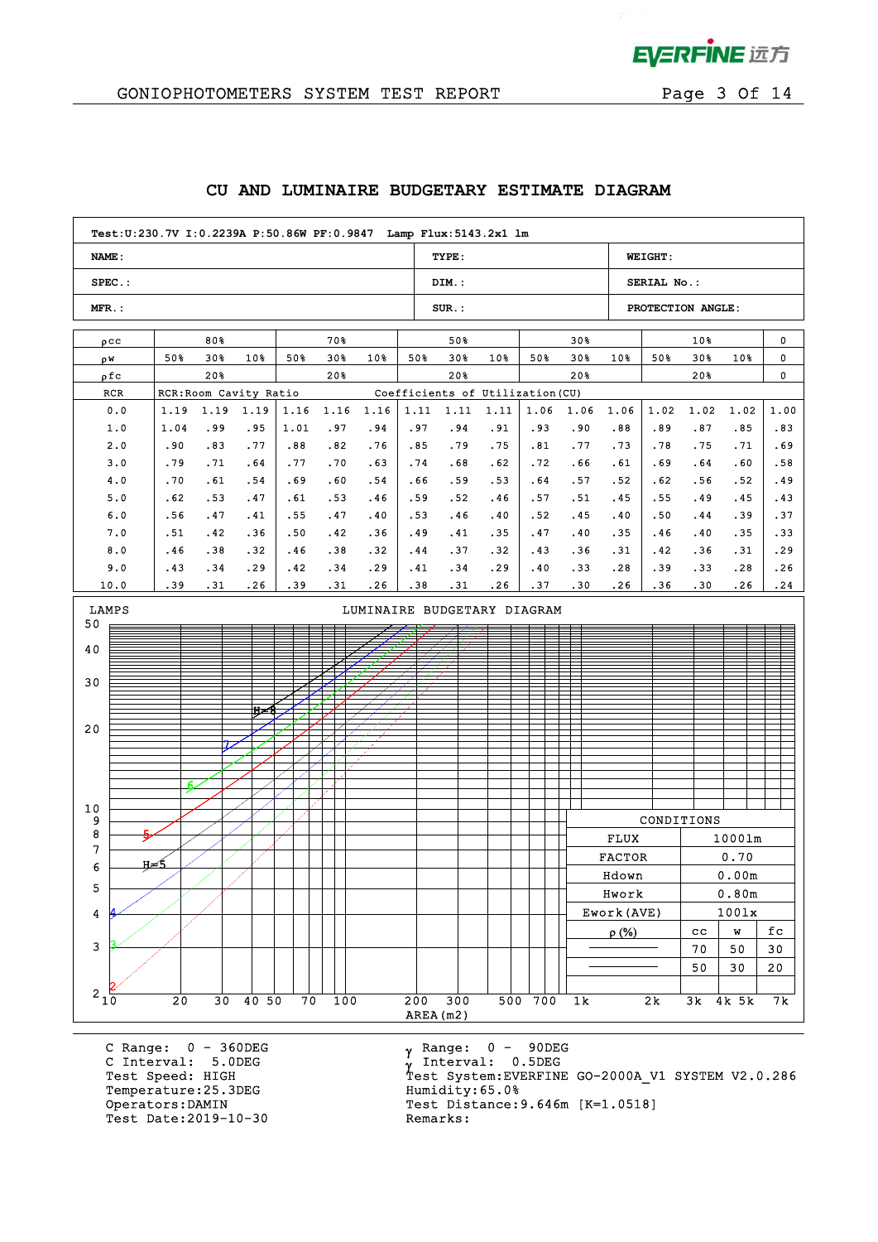

## GONIOPHOTOMETERS SYSTEM TEST REPORT Page 3 Of 14

### **CU AND LUMINAIRE BUDGETARY ESTIMATE DIAGRAM**

| Test:U:230.7V I:0.2239A P:50.86W PF:0.9847 Lamp Flux:5143.2x1 lm |                                                                                                                                 |                        |      |      |       |      |      |                                  |       |      |                 |               |                   |             |        |        |
|------------------------------------------------------------------|---------------------------------------------------------------------------------------------------------------------------------|------------------------|------|------|-------|------|------|----------------------------------|-------|------|-----------------|---------------|-------------------|-------------|--------|--------|
| <b>NAME:</b>                                                     |                                                                                                                                 |                        |      |      |       |      |      | TYPE:                            |       |      |                 |               | <b>WEIGHT:</b>    |             |        |        |
| $SPEC.$ :                                                        |                                                                                                                                 |                        |      |      |       |      |      | DIM.:                            |       |      |                 |               | SERIAL No.:       |             |        |        |
| $MFR$ .:                                                         |                                                                                                                                 |                        |      |      |       |      |      | $SUR$ .:                         |       |      |                 |               | PROTECTION ANGLE: |             |        |        |
| $\rho$ CC                                                        |                                                                                                                                 | 80%                    |      |      | 70%   |      |      | 50%                              |       |      | 30 <sub>8</sub> |               |                   | $10*$       |        | 0      |
| ρW                                                               | 50%                                                                                                                             | 30%                    | 10%  | 50%  | $30*$ | 10%  | 50%  | 30%                              | $10*$ | 50%  | $30*$           | 10%           | 50%               | 30%         | 10%    | 0      |
| ρfc                                                              |                                                                                                                                 | 20%                    |      |      | 20%   |      |      | 20%                              |       |      | 20%             |               |                   | 20%         |        | 0      |
| RCR                                                              |                                                                                                                                 | RCR: Room Cavity Ratio |      |      |       |      |      | Coefficients of Utilization (CU) |       |      |                 |               |                   |             |        |        |
| 0.0                                                              | 1.19                                                                                                                            | 1.19                   | 1.19 | 1.16 | 1.16  | 1.16 | 1.11 | 1.11                             | 1.11  | 1.06 | 1.06            | 1.06          | 1.02              | 1.02        | 1.02   | 1.00   |
| 1.0                                                              | 1.04                                                                                                                            | .99                    | .95  | 1.01 | .97   | .94  | .97  | .94                              | .91   | .93  | .90             | .88           | .89               | .87         | .85    | .83    |
| 2.0                                                              | .90                                                                                                                             | .83                    | .77  | .88  | .82   | .76  | .85  | .79                              | .75   | .81  | .77             | .73           | .78               | .75         | .71    | .69    |
| 3.0                                                              | .79                                                                                                                             | .71                    | .64  | .77  | .70   | .63  | .74  | .68                              | .62   | .72  | .66             | .61           | .69               | .64         | .60    | .58    |
| 4.0                                                              | .70                                                                                                                             | .61                    | .54  | .69  | .60   | .54  | .66  | .59                              | .53   | .64  | .57             | .52           | .62               | .56         | .52    | .49    |
| 5.0                                                              | .62                                                                                                                             | .53                    | .47  | .61  | .53   | .46  | .59  | .52                              | .46   | .57  | .51             | .45           | .55               | .49         | .45    | .43    |
| 6.0                                                              | .56                                                                                                                             | .47                    | .41  | .55  | .47   | .40  | .53  | .46                              | .40   | .52  | .45             | .40           | .50               | . 44        | .39    | .37    |
| 7.0                                                              | .51                                                                                                                             | .42                    | .36  | .50  | .42   | .36  | .49  | .41                              | .35   | .47  | .40             | .35           | .46               | .40         | .35    | .33    |
| 8.0                                                              | .46                                                                                                                             | .38                    | .32  | .46  | .38   | .32  | .44  | .37                              | .32   | .43  | .36             | .31           | .42               | .36         | .31    | .29    |
| 9.0                                                              | .43                                                                                                                             | .34                    | .29  | .42  | .34   | .29  | .41  | .34                              | .29   | .40  | .33             | .28           | .39               | .33         | .28    | .26    |
| 10.0                                                             | .39                                                                                                                             | .31                    | .26  | .39  | .31   | .26  | .38  | .31                              | .26   | .37  | .30             | .26           | .36               | .30         | .26    | .24    |
| LAMPS<br>LUMINAIRE BUDGETARY DIAGRAM<br>50                       |                                                                                                                                 |                        |      |      |       |      |      |                                  |       |      |                 |               |                   |             |        |        |
| 40                                                               |                                                                                                                                 |                        |      |      |       |      |      |                                  |       |      |                 |               |                   |             |        |        |
|                                                                  |                                                                                                                                 |                        |      |      |       |      |      |                                  |       |      |                 |               |                   |             |        |        |
| 30                                                               |                                                                                                                                 |                        |      |      |       |      |      |                                  |       |      |                 |               |                   |             |        |        |
|                                                                  |                                                                                                                                 |                        |      |      |       |      |      |                                  |       |      |                 |               |                   |             |        |        |
|                                                                  |                                                                                                                                 |                        | Ħ≖   |      |       |      |      |                                  |       |      |                 |               |                   |             |        |        |
| 20                                                               |                                                                                                                                 |                        |      |      |       |      |      |                                  |       |      |                 |               |                   |             |        |        |
|                                                                  |                                                                                                                                 |                        |      |      |       |      |      |                                  |       |      |                 |               |                   |             |        |        |
|                                                                  |                                                                                                                                 |                        |      |      |       |      |      |                                  |       |      |                 |               |                   |             |        |        |
|                                                                  | F.                                                                                                                              |                        |      |      |       |      |      |                                  |       |      |                 |               |                   |             |        |        |
| 10                                                               |                                                                                                                                 |                        |      |      |       |      |      |                                  |       |      |                 |               |                   |             |        |        |
| 9                                                                |                                                                                                                                 |                        |      |      |       |      |      |                                  |       |      |                 |               | CONDITIONS        |             |        |        |
| 8                                                                |                                                                                                                                 |                        |      |      |       |      |      |                                  |       |      |                 | <b>FLUX</b>   |                   |             | 10001m |        |
| 7                                                                |                                                                                                                                 |                        |      |      |       |      |      |                                  |       |      |                 | <b>FACTOR</b> |                   |             | 0.70   |        |
| 6                                                                | н≠5                                                                                                                             |                        |      |      |       |      |      |                                  |       |      |                 | Hdown         |                   |             | 0.00m  |        |
| 5                                                                |                                                                                                                                 |                        |      |      |       |      |      |                                  |       |      |                 | Hwork         |                   |             | 0.80m  |        |
| 4                                                                |                                                                                                                                 |                        |      |      |       |      |      |                                  |       |      |                 | Ework (AVE)   |                   |             | 1001x  |        |
|                                                                  |                                                                                                                                 |                        |      |      |       |      |      |                                  |       |      |                 | $\rho$ (%)    |                   | $_{\rm cc}$ | W      | fc     |
| $\mathbf{3}$                                                     |                                                                                                                                 |                        |      |      |       |      |      |                                  |       |      |                 |               |                   | 70          | 50     | $30\,$ |
|                                                                  |                                                                                                                                 |                        |      |      |       |      |      |                                  |       |      |                 |               |                   | 50          | 30     | 20     |
|                                                                  |                                                                                                                                 |                        |      |      |       |      |      |                                  |       |      |                 |               |                   |             |        |        |
|                                                                  | $2\frac{1}{10}$<br>30 40 50<br>$\overline{300}$<br>20<br>70<br>100<br>200<br>500 700<br>2k<br>1 <sub>k</sub><br>3k 4k 5k<br>7 k |                        |      |      |       |      |      |                                  |       |      |                 |               |                   |             |        |        |
|                                                                  | AREA (m2)                                                                                                                       |                        |      |      |       |      |      |                                  |       |      |                 |               |                   |             |        |        |

C Range: 0 - 360DEG C Interval: 5.0DEG Temperature: 25.3DEG<br>Operators: DAMIN Test Date: 2019-10-30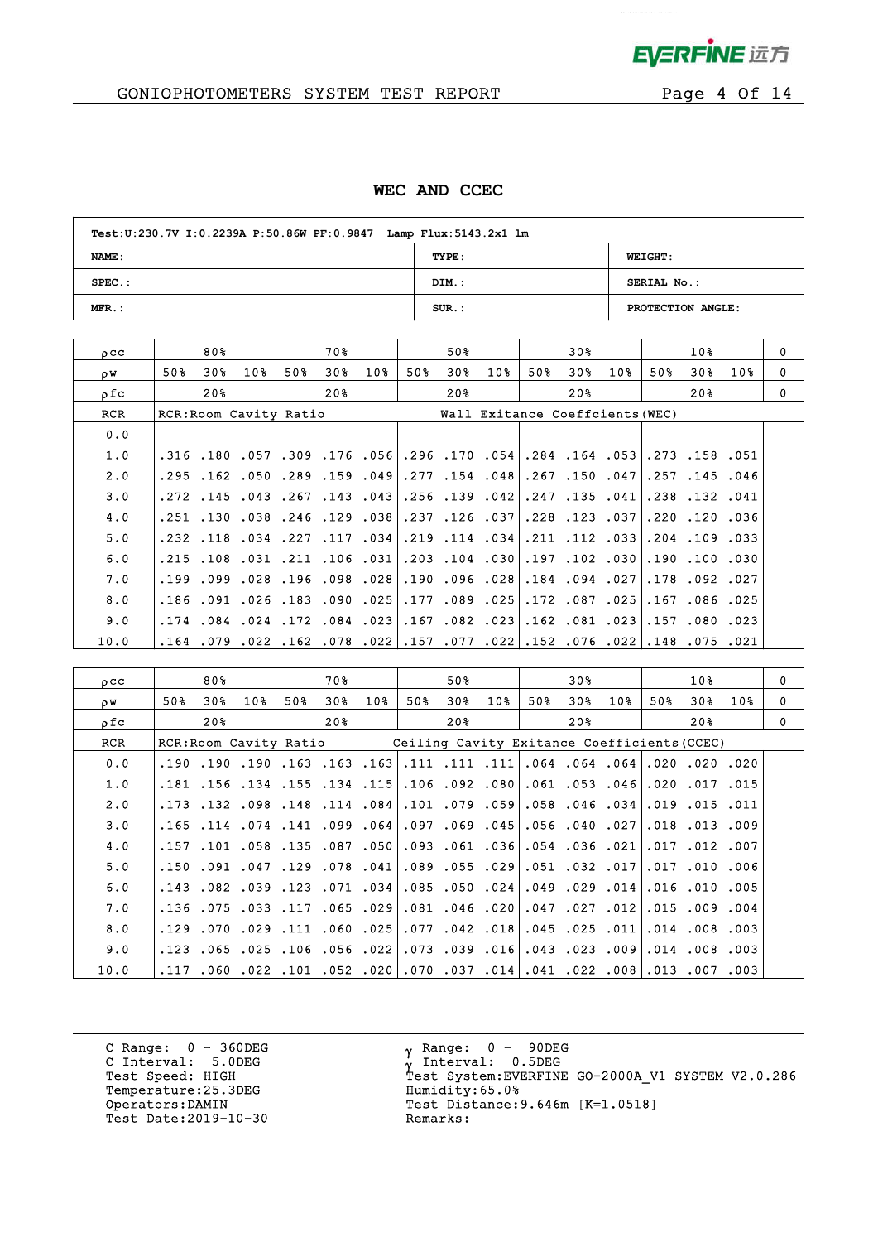

 $\mathcal{L}$ 

## GONIOPHOTOMETERS SYSTEM TEST REPORT FOR Page 4 Of 14

### **WEC AND CCEC**

| Test: U:230.7V I: 0.2239A P: 50.86W PF: 0.9847 Lamp Flux: 5143.2x1 lm |          |                   |  |  |  |  |  |  |  |  |
|-----------------------------------------------------------------------|----------|-------------------|--|--|--|--|--|--|--|--|
| NAME:                                                                 | TYPE:    | <b>WEIGHT:</b>    |  |  |  |  |  |  |  |  |
| $SPEC.$ :                                                             | DIM.:    | SERIAL No.:       |  |  |  |  |  |  |  |  |
| $MFR.$ :                                                              | $SUR.$ : | PROTECTION ANGLE: |  |  |  |  |  |  |  |  |

| $_{0}$ $_{\rm CC}$ |      | 80% |                        |     | 70% |                      |     | 50% |                 |     | 30% |                                                                                  |     | 10%                  |        | $\Omega$ |
|--------------------|------|-----|------------------------|-----|-----|----------------------|-----|-----|-----------------|-----|-----|----------------------------------------------------------------------------------|-----|----------------------|--------|----------|
| ρW                 | 50%  | 30% | 10 <sub>8</sub>        | 50% | 30% | 10 <sub>8</sub>      | 50% | 30% | 10 <sub>8</sub> | 50% | 30% | 10 <sub>8</sub>                                                                  | 50% | 30%                  | $10\%$ | 0        |
| ρfc                |      | 20% |                        |     | 20% |                      |     | 20% |                 |     | 20% |                                                                                  |     | 20%                  |        | 0        |
| RCR                |      |     | RCR: Room Cavity Ratio |     |     |                      |     |     |                 |     |     | Wall Exitance Coeffcients (WEC)                                                  |     |                      |        |          |
| 0.0                |      |     |                        |     |     |                      |     |     |                 |     |     |                                                                                  |     |                      |        |          |
| 1.0                |      |     |                        |     |     |                      |     |     |                 |     |     | .051. 158. 153. 163. 164. 164. 170. 170. 176. 165. 166. 176. 176. 180. 180. 156. |     |                      |        |          |
| 2.0                |      |     | $.295$ $.162$ $.050$   |     |     | $.289$ $.159$ $.049$ |     |     |                 |     |     | ا947. 150. 267. 158. 154. 277.                                                   |     | $.257$ $.145$ $.046$ |        |          |
| 3.0                |      |     | $.272$ $.145$ $.043$   |     |     |                      |     |     |                 |     |     | .267. 135. 242. 242. 139. 256. 263. 143. 267. 267.                               |     | .238.132.041         |        |          |
| 4.0                |      |     | .251 .130 .038         |     |     |                      |     |     |                 |     |     | .246 .129 .038 .237 .126 .037 .228 .123 .037                                     |     | .220.120.036         |        |          |
| 5.0                |      |     |                        |     |     |                      |     |     |                 |     |     | 033. 109. 204. 203. 112. 111. 231. 234. 114. 219. 234. 217. 227. 234. 118. 232.  |     |                      |        |          |
| 6.0                |      |     | $.215$ $.108$ $.031$   |     |     | .211 .106 .031       |     |     |                 |     |     | .203.104.030.197.102.030                                                         |     | .190.100.030         |        |          |
| 7.0                |      |     |                        |     |     |                      |     |     |                 |     |     | 270. 094. 084. 288. 096. 190. 190. 098. 096. 298. 099. 099.                      |     | .178.092.027         |        |          |
| 8.0                |      |     | .186.091.026           |     |     | .183.090.025         |     |     |                 |     |     | ا 025. 087. 172. 025. 089. 177.                                                  |     | .167.086.025         |        |          |
| 9.0                |      |     | $.174$ $.084$ $.024$   |     |     |                      |     |     |                 |     |     | 230. 181. 162. 162. 162. 167.  231. 162. 172.                                    |     | .157.080.023         |        |          |
| 10.0               | .164 |     |                        |     |     |                      |     |     |                 |     |     | 021. 075. 148. 202. 076. 152. 202. 077. 157. 22. 078. 162. 202. 079.             |     |                      |        |          |

| 0 <sub>C</sub> |      | 80%                    |           |     | 70 %                                                                  |     |     | 50%                           |     |     | 30% |                                               |     | 10 <sub>8</sub>      |     | $\mathbf 0$ |
|----------------|------|------------------------|-----------|-----|-----------------------------------------------------------------------|-----|-----|-------------------------------|-----|-----|-----|-----------------------------------------------|-----|----------------------|-----|-------------|
| οW             | 50%  | 30%                    | 10%       | 50% | 30%                                                                   | 10% | 50% | 30 <sub>8</sub>               | 10% | 50% | 30% | 10%                                           | 50% | 30%                  | 10% | $\Omega$    |
| ρfc            |      | 20 <sub>8</sub>        |           |     | 20%                                                                   |     |     | $20\%$                        |     |     | 20월 |                                               |     | 20%                  |     | $\Omega$    |
| RCR            |      | RCR: Room Cavity Ratio |           |     |                                                                       |     |     |                               |     |     |     | Ceiling Cavity Exitance Coefficients (CCEC)   |     |                      |     |             |
| 0.0            |      | .190.190.190           |           |     | $.163$ .163.163                                                       |     |     |                               |     |     |     | .111.111.064.064.064.064.111.111.111.         |     |                      |     |             |
| 1.0            |      | $.181$ $.156$ $.134$   |           |     | .155.134.115                                                          |     |     |                               |     |     |     | .106.092.080.061.053.046                      |     | .020.017.015         |     |             |
| 2.0            |      | .173 .132 .098         |           |     | $.148$ $.114$ $.084$                                                  |     |     | $.101$ .079 .059              |     |     |     | 058 .046 .034.                                |     | $.019$ $.015$ $.011$ |     |             |
| 3.0            |      | $.165$ $.114$ $.074$   |           |     | $.141$ .099 .064                                                      |     |     |                               |     |     |     | .097.045.056.056.097.097.                     |     | .018.013.009         |     |             |
| 4.0            |      | $.157$ $.101$ $.058$   |           |     | .135.087.050                                                          |     |     | 021. 036. 054. 054. 093. 093. |     |     |     |                                               |     | .017.012.007         |     |             |
| 5.0            |      |                        |           |     | ا041. 078. 150. 047. 041. 150. 150.                                   |     |     |                               |     |     |     | 006. 010. 017. 017. 032. 017. 039. 055. 089.  |     |                      |     |             |
| 6.0            |      | $.143$ $.082$ $.039$   |           |     | $.123$ .071 .034                                                      |     |     |                               |     |     |     | .085.050.024.049.029.014                      |     | $.016$ $.010$ $.005$ |     |             |
| 7.0            |      |                        |           |     | .136.075.117.117.136.029.                                             |     |     |                               |     |     |     | .081.099.027.027.012.015.009.004              |     |                      |     |             |
| 8.0            | .129 |                        | .070.0291 |     | .111 .060 .025                                                        |     |     |                               |     |     |     | .077.042.018.045.025.011                      |     | 014.008.003          |     |             |
| 9.0            |      |                        |           |     | .123.065.106.106.056.123.                                             |     |     |                               |     |     |     | .003, 008, 016, 009, 023, 009, 016, 039, 003, |     |                      |     |             |
| 10.0           | .117 |                        |           |     | 003. 007. 013. 022. 020. 041. 041. 037. 070. 020. 052. 101. 022. 060. |     |     |                               |     |     |     |                                               |     |                      |     |             |

C Range: 0 - 360DEG C Interval: 5.0DEG Temperature:25.3DEG Humidity:65.0%<br>Operators:DAMIN Test Distance: Test Date: 2019-10-30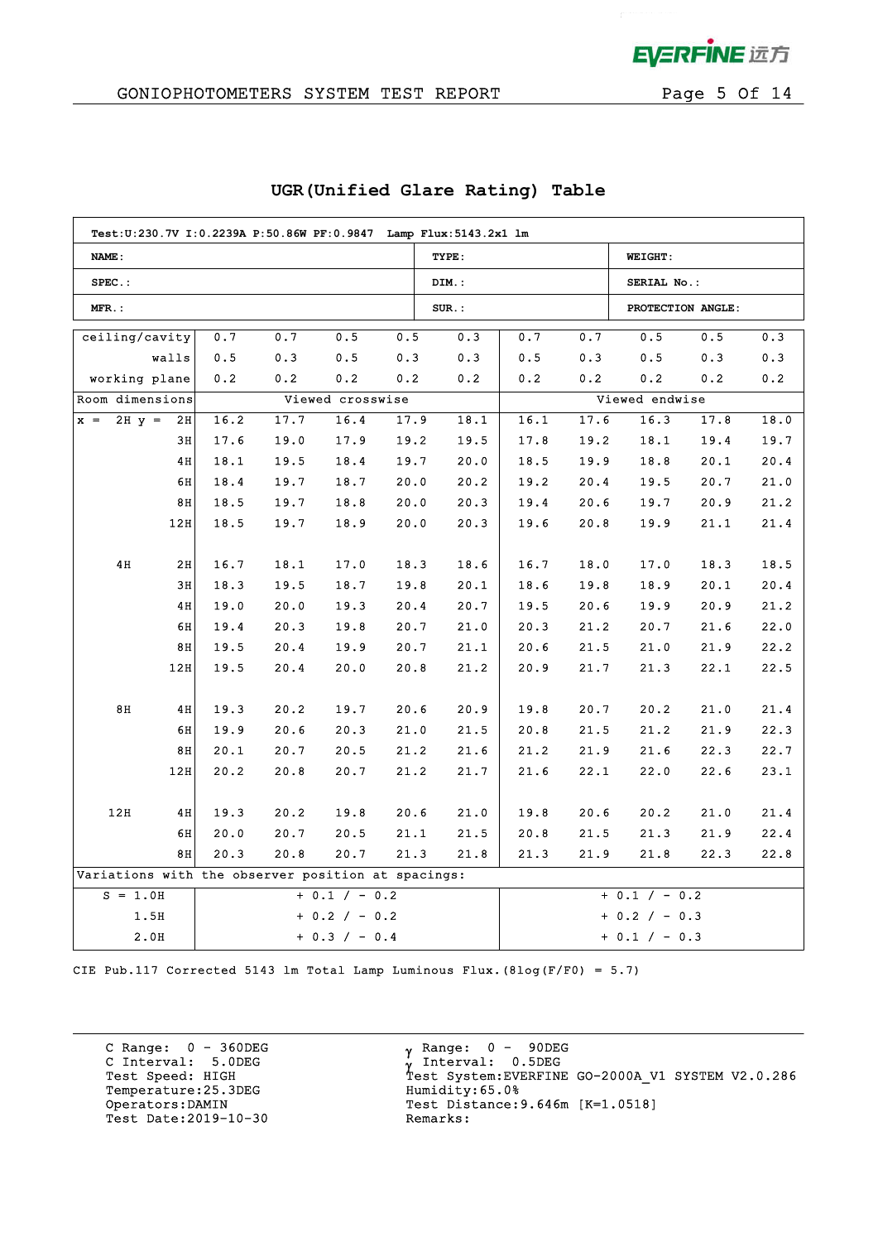

 $\mathcal{L}$ 

## GONIOPHOTOMETERS SYSTEM TEST REPORT FOR Page 5 Of 14

| Test:U:230.7V I:0.2239A P:50.86W PF:0.9847 Lamp Flux:5143.2x1 lm |                 |      |      |                  |      |          |      |                 |                   |      |      |
|------------------------------------------------------------------|-----------------|------|------|------------------|------|----------|------|-----------------|-------------------|------|------|
| NAME:                                                            |                 |      |      |                  |      | TYPE:    |      |                 | <b>WEIGHT:</b>    |      |      |
| $SPEC.$ :                                                        |                 |      |      |                  |      | DIM.:    |      |                 | SERIAL No.:       |      |      |
| MFR.:                                                            |                 |      |      |                  |      | $SUR.$ : |      |                 | PROTECTION ANGLE: |      |      |
| ceiling/cavity                                                   |                 | 0.7  | 0.7  | 0.5              | 0.5  | 0.3      | 0.7  | 0.7             | 0.5               | 0.5  | 0.3  |
|                                                                  | walls           | 0.5  | 0.3  | 0.5              | 0.3  | 0.3      | 0.5  | 0.3             | 0.5               | 0.3  | 0.3  |
| working plane                                                    |                 | 0.2  | 0.2  | 0.2              | 0.2  | 0.2      | 0.2  | 0.2             | 0.2               | 0.2  | 0.2  |
| Room dimensions                                                  |                 |      |      | Viewed crosswise |      |          |      |                 | Viewed endwise    |      |      |
| $2H y =$<br>$x =$                                                | 2H              | 16.2 | 17.7 | 16.4             | 17.9 | 18.1     | 16.1 | 17.6            | 16.3              | 17.8 | 18.0 |
|                                                                  | 3H              | 17.6 | 19.0 | 17.9             | 19.2 | 19.5     | 17.8 | 19.2            | 18.1              | 19.4 | 19.7 |
|                                                                  | 4H              | 18.1 | 19.5 | 18.4             | 19.7 | 20.0     | 18.5 | 19.9            | 18.8              | 20.1 | 20.4 |
|                                                                  | 6H              | 18.4 | 19.7 | 18.7             | 20.0 | 20.2     | 19.2 | 20.4            | 19.5              | 20.7 | 21.0 |
|                                                                  | 8H              | 18.5 | 19.7 | 18.8             | 20.0 | 20.3     | 19.4 | 20.6            | 19.7              | 20.9 | 21.2 |
|                                                                  | 12H             | 18.5 | 19.7 | 18.9             | 20.0 | 20.3     | 19.6 | 20.8            | 19.9              | 21.1 | 21.4 |
|                                                                  |                 |      |      |                  |      |          |      |                 |                   |      |      |
| 4H                                                               | 2H              | 16.7 | 18.1 | 17.0             | 18.3 | 18.6     | 16.7 | 18.0            | 17.0              | 18.3 | 18.5 |
|                                                                  | 3H              | 18.3 | 19.5 | 18.7             | 19.8 | 20.1     | 18.6 | 19.8            | 18.9              | 20.1 | 20.4 |
|                                                                  | 4H              | 19.0 | 20.0 | 19.3             | 20.4 | 20.7     | 19.5 | 20.6            | 19.9              | 20.9 | 21.2 |
|                                                                  | 6H              | 19.4 | 20.3 | 19.8             | 20.7 | 21.0     | 20.3 | 21.2            | 20.7              | 21.6 | 22.0 |
|                                                                  | 8H              | 19.5 | 20.4 | 19.9             | 20.7 | 21.1     | 20.6 | 21.5            | 21.0              | 21.9 | 22.2 |
|                                                                  | 12H             | 19.5 | 20.4 | 20.0             | 20.8 | 21.2     | 20.9 | 21.7            | 21.3              | 22.1 | 22.5 |
|                                                                  |                 |      |      |                  |      |          |      |                 |                   |      |      |
| 8H                                                               | 4H              | 19.3 | 20.2 | 19.7             | 20.6 | 20.9     | 19.8 | 20.7            | 20.2              | 21.0 | 21.4 |
|                                                                  | 6H              | 19.9 | 20.6 | 20.3             | 21.0 | 21.5     | 20.8 | 21.5            | 21.2              | 21.9 | 22.3 |
|                                                                  | 8H              | 20.1 | 20.7 | 20.5             | 21.2 | 21.6     | 21.2 | 21.9            | 21.6              | 22.3 | 22.7 |
|                                                                  | 12H             | 20.2 | 20.8 | 20.7             | 21.2 | 21.7     | 21.6 | 22.1            | 22.0              | 22.6 | 23.1 |
|                                                                  |                 |      |      |                  |      |          |      |                 |                   |      |      |
| 12H                                                              | 4H              | 19.3 | 20.2 | 19.8             | 20.6 | 21.0     | 19.8 | 20.6            | 20.2              | 21.0 | 21.4 |
|                                                                  | 6H              | 20.0 | 20.7 | 20.5             | 21.1 | 21.5     | 20.8 | 21.5            | 21.3              | 21.9 | 22.4 |
|                                                                  | 8H              | 20.3 | 20.8 | 20.7             | 21.3 | 21.8     | 21.3 | 21.9            | 21.8              | 22.3 | 22.8 |
| Variations with the observer position at spacings:               |                 |      |      |                  |      |          |      |                 |                   |      |      |
| $+ 0.1 / - 0.2$<br>$S = 1.0H$                                    |                 |      |      |                  |      |          |      |                 | $+ 0.1 / - 0.2$   |      |      |
| 1.5H<br>$+ 0.2 / - 0.2$                                          |                 |      |      |                  |      |          |      | $+ 0.2 / - 0.3$ |                   |      |      |
| 2.0H                                                             | $+ 0.3 / - 0.4$ |      |      |                  |      |          |      |                 | $+ 0.1 / - 0.3$   |      |      |

## **UGR(Unified Glare Rating) Table**

CIE Pub.117 Corrected 5143 lm Total Lamp Luminous Flux.(8log(F/F0) = 5.7)

C Range: 0 - 360DEG C Interval: 5.0DEG Temperature:25.3DEG Humidity:65.0% Test Date: 2019-10-30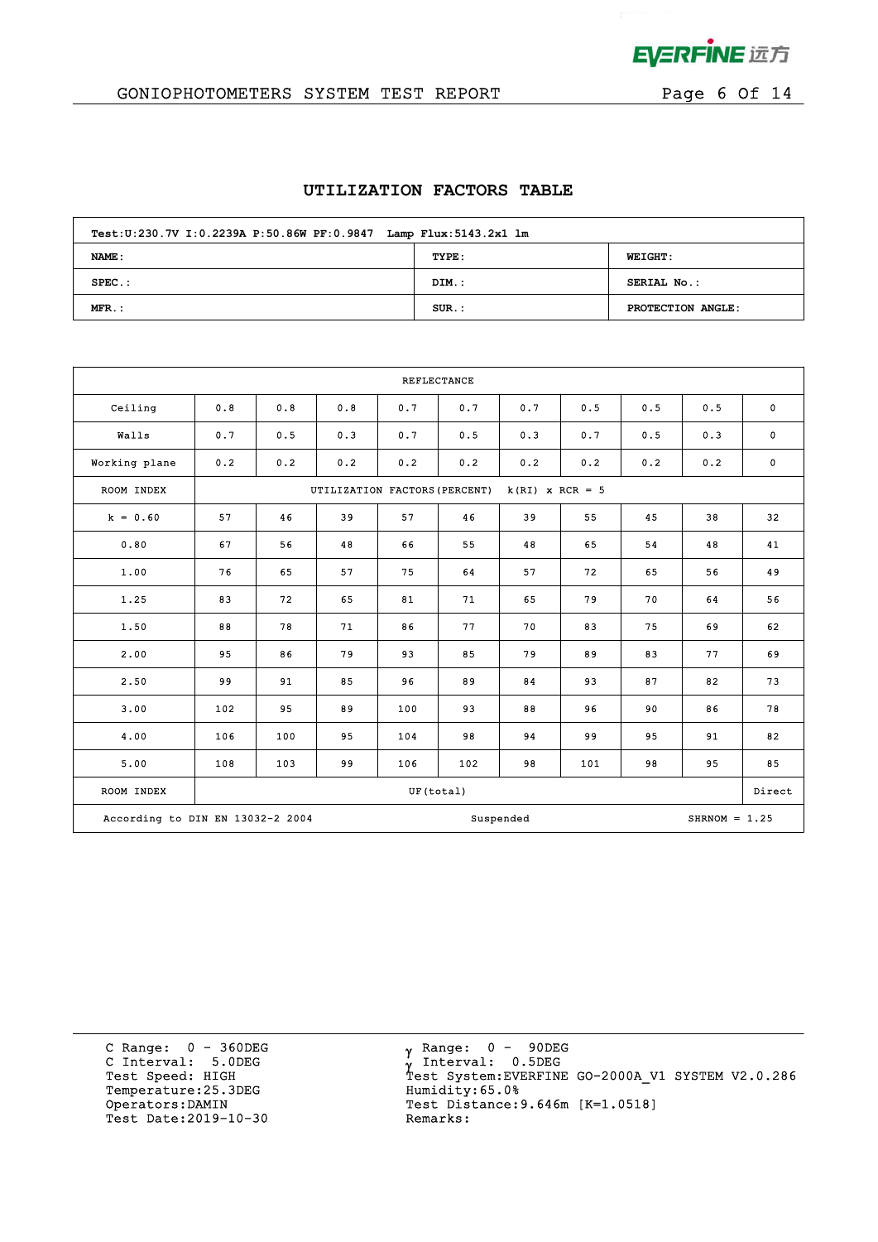

 $\mathcal{L}$ 

## GONIOPHOTOMETERS SYSTEM TEST REPORT FOR Page 6 Of 14

### **UTILIZATION FACTORS TABLE**

| Test:U:230.7V I:0.2239A P:50.86W PF:0.9847 Lamp Flux:5143.2x1 lm |          |                   |  |  |  |  |  |  |  |
|------------------------------------------------------------------|----------|-------------------|--|--|--|--|--|--|--|
| NAME:                                                            | TYPE:    | <b>WEIGHT:</b>    |  |  |  |  |  |  |  |
| $SPEC.$ :                                                        | DIM.:    | SERIAL No.:       |  |  |  |  |  |  |  |
| $MFR.$ :                                                         | $SUR$ .: | PROTECTION ANGLE: |  |  |  |  |  |  |  |

| <b>REFLECTANCE</b>               |     |                                                    |     |           |     |           |     |     |                 |             |
|----------------------------------|-----|----------------------------------------------------|-----|-----------|-----|-----------|-----|-----|-----------------|-------------|
| Ceiling                          | 0.8 | 0.8                                                | 0.8 | 0.7       | 0.7 | 0.7       | 0.5 | 0.5 | 0.5             | $\mathbf 0$ |
| Walls                            | 0.7 | 0.5                                                | 0.3 | 0.7       | 0.5 | 0.3       | 0.7 | 0.5 | 0.3             | $\mathbf 0$ |
| Working plane                    | 0.2 | 0.2                                                | 0.2 | 0.2       | 0.2 | 0.2       | 0.2 | 0.2 | 0.2             | $\mathbf 0$ |
| ROOM INDEX                       |     | UTILIZATION FACTORS (PERCENT)<br>$k(RI)$ x RCR = 5 |     |           |     |           |     |     |                 |             |
| $k = 0.60$                       | 57  | 46                                                 | 39  | 57        | 46  | 39        | 55  | 45  | 38              | 32          |
| 0.80                             | 67  | 56                                                 | 48  | 66        | 55  | 48        | 65  | 54  | 48              | 41          |
| 1.00                             | 76  | 65                                                 | 57  | 75        | 64  | 57        | 72  | 65  | 56              | 49          |
| 1.25                             | 83  | 72                                                 | 65  | 81        | 71  | 65        | 79  | 70  | 64              | 56          |
| 1.50                             | 88  | 78                                                 | 71  | 86        | 77  | 70        | 83  | 75  | 69              | 62          |
| 2.00                             | 95  | 86                                                 | 79  | 93        | 85  | 79        | 89  | 83  | 77              | 69          |
| 2.50                             | 99  | 91                                                 | 85  | 96        | 89  | 84        | 93  | 87  | 82              | 73          |
| 3.00                             | 102 | 95                                                 | 89  | 100       | 93  | 88        | 96  | 90  | 86              | 78          |
| 4.00                             | 106 | 100                                                | 95  | 104       | 98  | 94        | 99  | 95  | 91              | 82          |
| 5.00                             | 108 | 103                                                | 99  | 106       | 102 | 98        | 101 | 98  | 95              | 85          |
| ROOM INDEX                       |     |                                                    |     | UF(total) |     |           |     |     |                 | Direct      |
| According to DIN EN 13032-2 2004 |     |                                                    |     |           |     | Suspended |     |     | $SHRNOM = 1.25$ |             |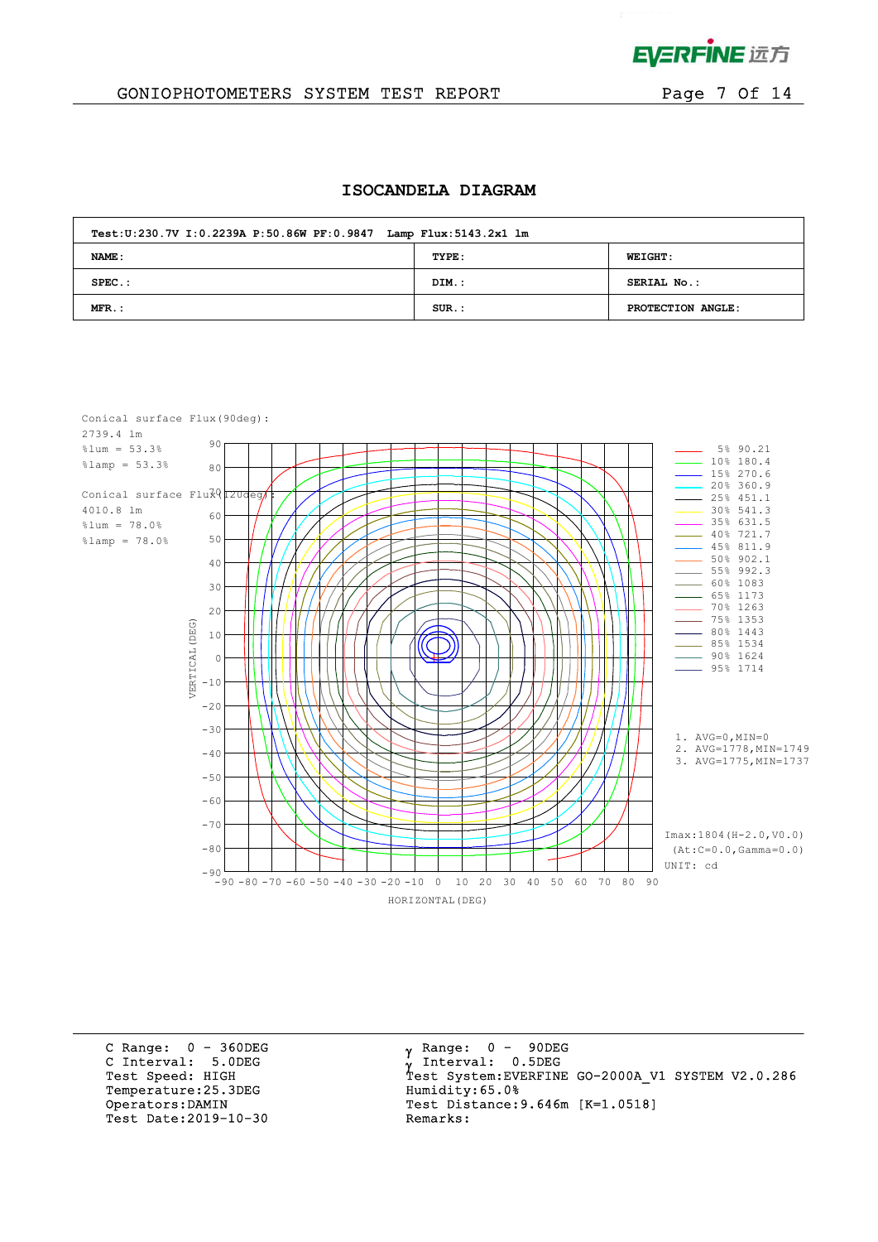

### GONIOPHOTOMETERS SYSTEM TEST REPORT FOR Page 7 Of 14

#### **ISOCANDELA DIAGRAM**

| Test: U:230.7V I: 0.2239A P: 50.86W PF: 0.9847 Lamp Flux: 5143.2x1 lm |          |                   |  |  |  |  |  |  |
|-----------------------------------------------------------------------|----------|-------------------|--|--|--|--|--|--|
| NAME:                                                                 | TYPE:    | <b>WEIGHT:</b>    |  |  |  |  |  |  |
| $SPEC.$ :                                                             | DIM.:    | SERIAL No.:       |  |  |  |  |  |  |
| $MFR$ .:                                                              | $SUR$ .: | PROTECTION ANGLE: |  |  |  |  |  |  |



C Range: 0 - 360DEG C Interval: 5.0DEG Temperature: 25.3DEG Humidity: 65.0% Test Date:  $2019-10-30$ 

 $\gamma$  Range:  $0 - 90$ DEG Interval: 0.5DEG Test Speed: HIGH Test System:EVERFINE GO-2000A\_V1 SYSTEM V2.0.286 Operators:DAMIN Test Distance:9.646m [K=1.0518]<br>Test Date:2019-10-30 Remarks: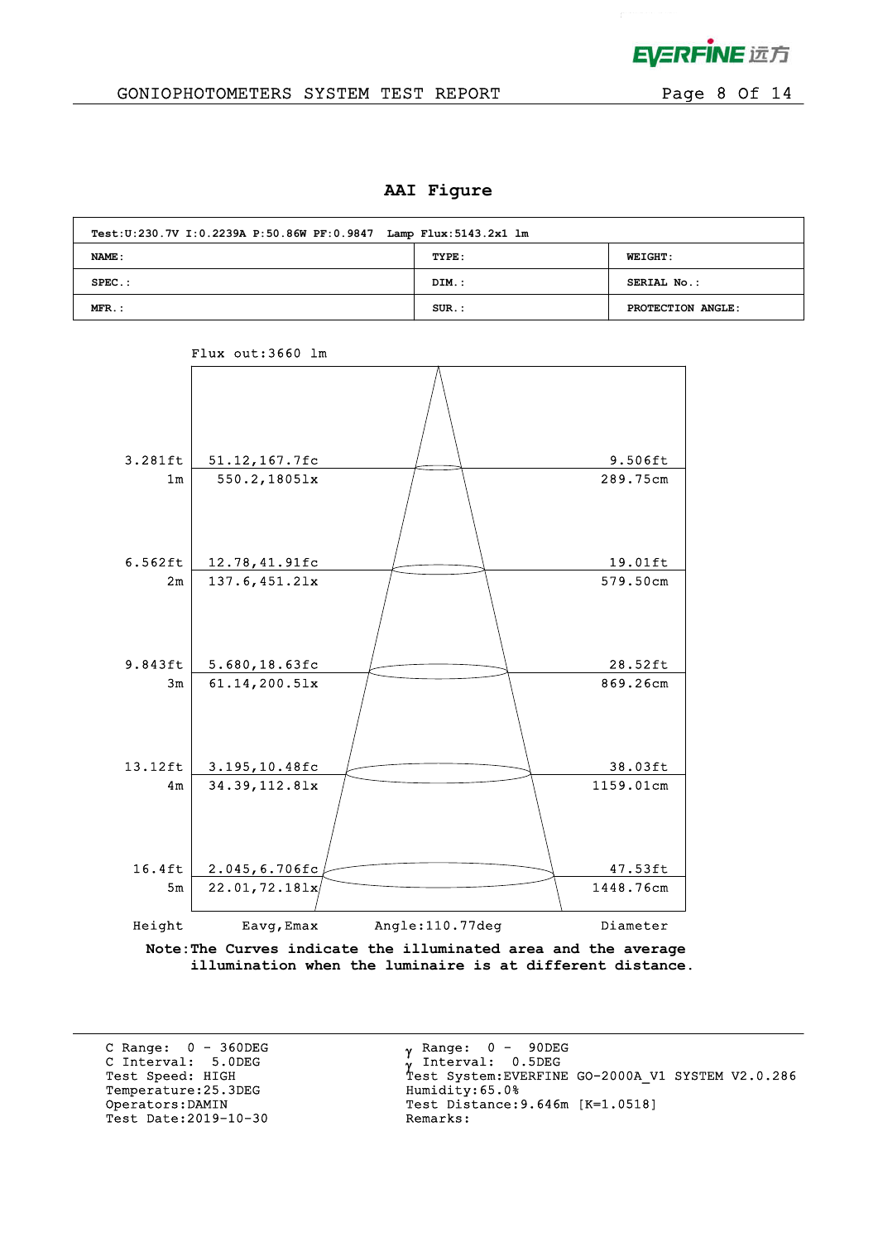

## GONIOPHOTOMETERS SYSTEM TEST REPORT FOR Page 8 Of 14

### **AAI Figure**

| Test: U:230.7V I: 0.2239A P: 50.86W PF: 0.9847 Lamp Flux: 5143.2x1 lm |          |                   |  |  |  |  |  |  |
|-----------------------------------------------------------------------|----------|-------------------|--|--|--|--|--|--|
| NAME :                                                                | TYPE:    | <b>WEIGHT:</b>    |  |  |  |  |  |  |
| $SPEC.$ :                                                             | DIM.:    | SERIAL No.:       |  |  |  |  |  |  |
| $MFR$ .:                                                              | $SUR.$ : | PROTECTION ANGLE: |  |  |  |  |  |  |



## Flux out:3660 lm

**Note:The Curves indicate the illuminated area and the average illumination when the luminaire is at different distance.**

C Range: 0 - 360DEG C Interval: 5.0DEG Temperature: 25.3DEG Test Date:  $2019-10-30$ 

 $\gamma$  Range:  $0 - 90$ DEG Interval: 0.5DEG C INCEIVAL: 3.0DEG<br>
Test Speed: HIGH Test System:EVERFINE GO-2000A\_V1 SYSTEM V2.0.286<br>
Temperature:25.3DEG Humidity:65.0% Operators:DAMIN Test Distance:9.646m [K=1.0518]<br>Test Date:2019-10-30 Remarks: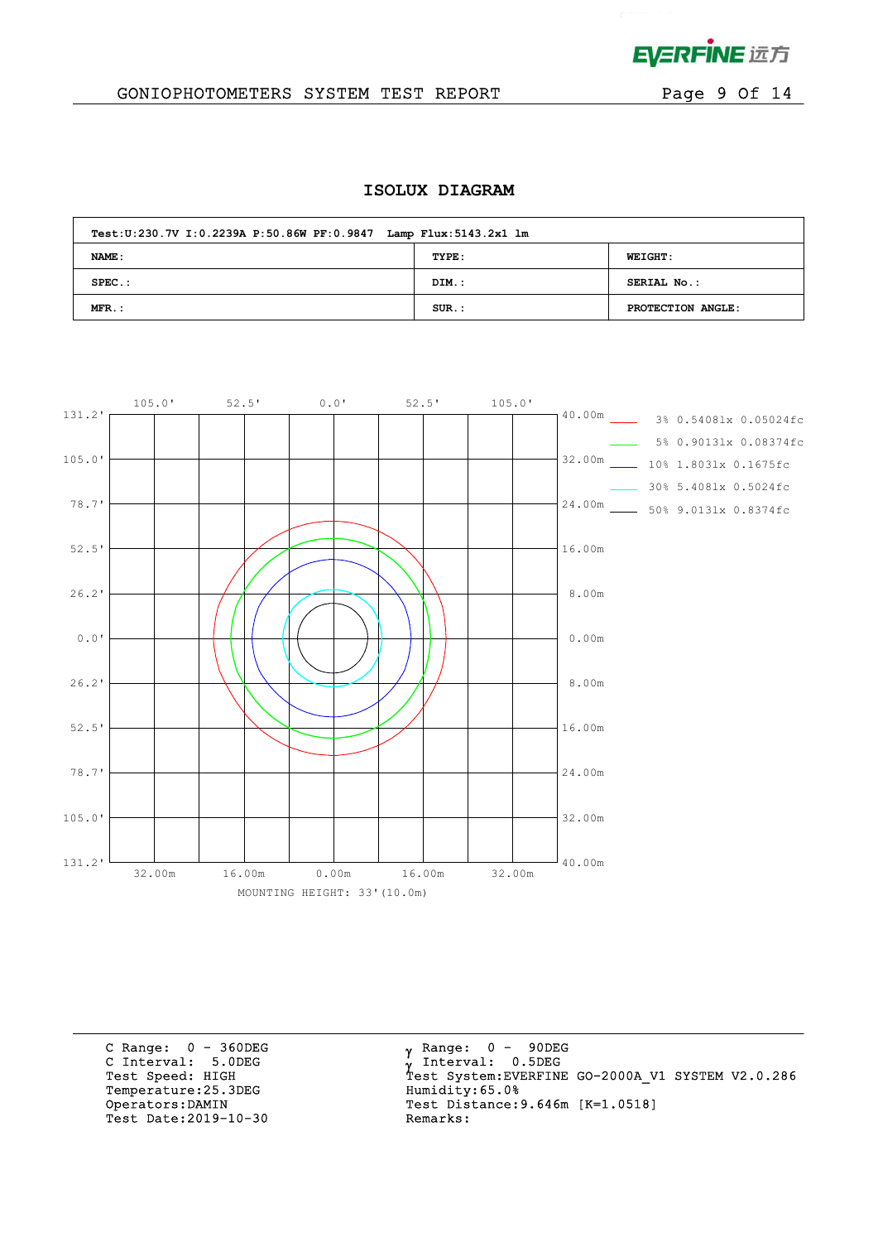

 $\mathcal{L}^{\text{max}}$  and  $\mathcal{L}^{\text{max}}$ 

## GONIOPHOTOMETERS SYSTEM TEST REPORT FOR Page 9 Of 14

## **ISOLUX DIAGRAM**

| Test: U:230.7V I: 0.2239A P: 50.86W PF: 0.9847 Lamp Flux: 5143.2x1 lm |          |                   |
|-----------------------------------------------------------------------|----------|-------------------|
| NAME :                                                                | TYPE:    | <b>WEIGHT:</b>    |
| $SPEC.$ :                                                             | DIM.:    | SERIAL No.:       |
| MFR.:                                                                 | $SUR.$ : | PROTECTION ANGLE: |



C Range: 0 - 360DEG C Interval: 5.0DEG Temperature:25.3DEG Humidity:65.0%<br>Operators:DAMIN Test Distance:9 Test Date:  $2019-10-30$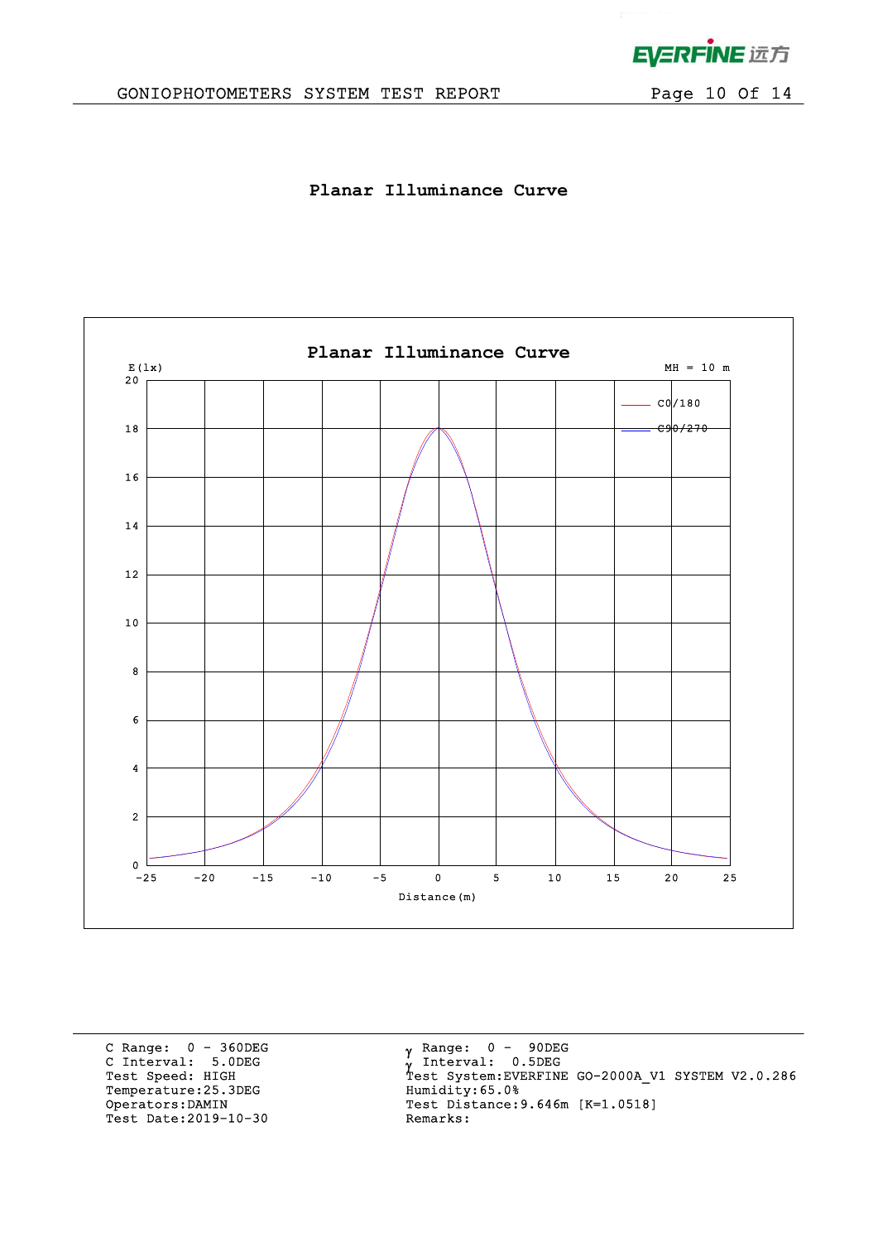

# GONIOPHOTOMETERS SYSTEM TEST REPORT Page 10 Of 14

**Planar Illuminance Curve**



C Range: 0 - 360DEG C Interval: 5.0DEG Temperature:25.3DEG Humidity:65.0%<br>Operators:DAMIN Test Distance:9 Test Date: 2019-10-30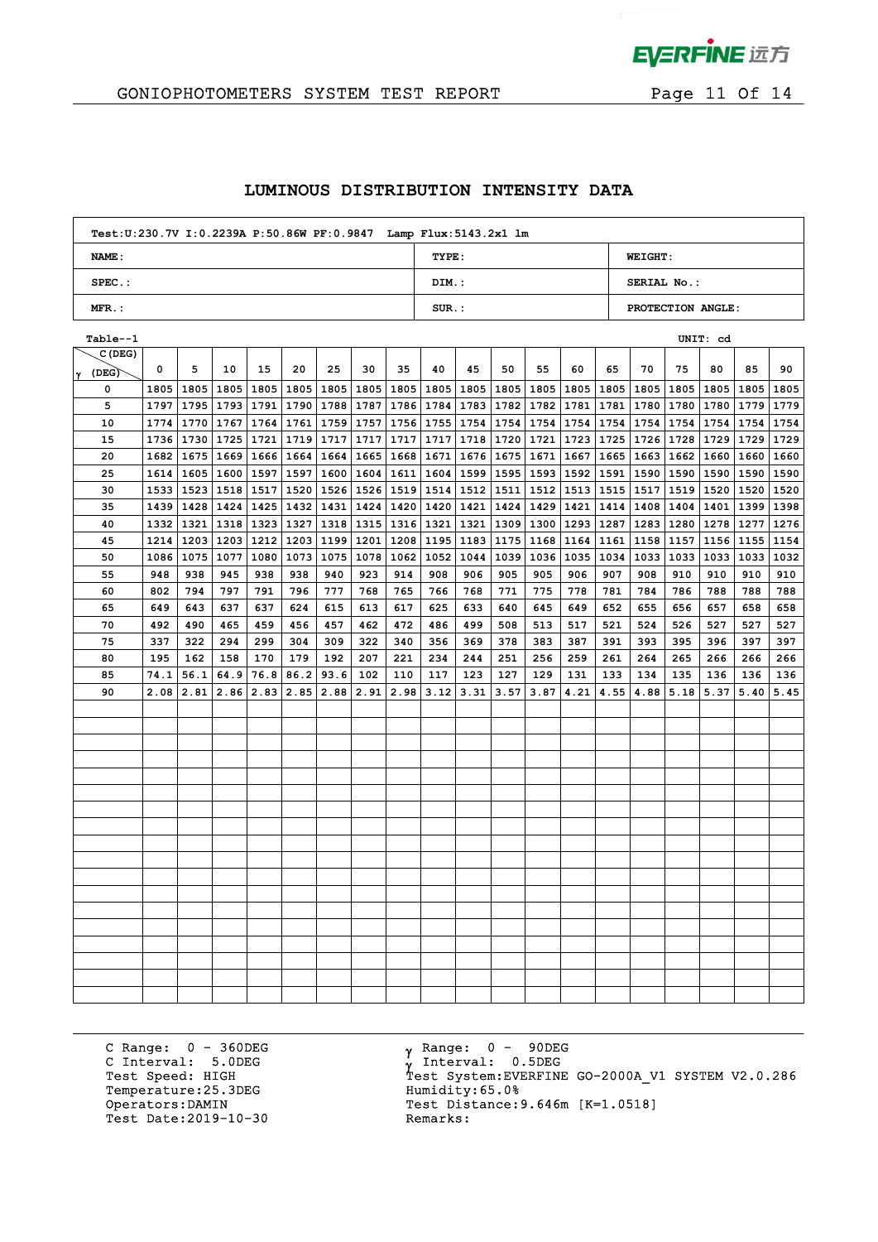

## GONIOPHOTOMETERS SYSTEM TEST REPORT FOR Page 11 Of 14

### **LUMINOUS DISTRIBUTION INTENSITY DATA**

| Test: U:230.7V I: 0.2239A P:50.86W PF: 0.9847 Lamp Flux: 5143.2x1 lm |          |                   |
|----------------------------------------------------------------------|----------|-------------------|
| NAME:                                                                | TYPE:    | <b>WEIGHT:</b>    |
| $SPEC.$ :                                                            | DIM.:    | SERIAL No.:       |
| $MFR.$ :                                                             | $SUR$ .: | PROTECTION ANGLE: |

| Table--1       |      |      |             |             |                                  |                                  |             |                                  |           |      |      |      |           |             |           |                                         | UNIT: cd |                                         |      |
|----------------|------|------|-------------|-------------|----------------------------------|----------------------------------|-------------|----------------------------------|-----------|------|------|------|-----------|-------------|-----------|-----------------------------------------|----------|-----------------------------------------|------|
| C(DEG)         |      |      |             |             |                                  |                                  |             |                                  |           |      |      |      |           |             |           |                                         |          |                                         |      |
| $\gamma$ (DEG) | 0    | 5    | 10          | 15          | 20                               | 25                               | 30          | 35                               | 40        | 45   | 50   | 55   | 60        | 65          | 70        | 75                                      | 80       | 85                                      | 90   |
| 0              | 1805 | 1805 | 1805        |             | 1805   1805   1805   1805   1805 |                                  |             |                                  | 1805      | 1805 | 1805 |      |           |             |           | 1805   1805   1805   1805   1805   1805 |          | 1805                                    | 1805 |
| 5              | 1797 | 1795 | 1793   1791 |             |                                  | 1790   1788   1787   1786   1784 |             |                                  |           | 1783 | 1782 |      | 1782 1781 |             |           |                                         |          | 1781   1780   1780   1780   1779   1779 |      |
| 10             | 1774 | 1770 | 1767        | 1764        |                                  | 1761   1759   1757   1756        |             |                                  | 1755      | 1754 | 1754 | 1754 | 1754      |             |           | 1754   1754   1754   1754               |          | 1754                                    | 1754 |
| 15             | 1736 | 1730 |             | $1725$ 1721 |                                  | 1719 1717                        | $1717$ 1717 |                                  | 1717      | 1718 | 1720 | 1721 | 1723      |             | 1725 1726 | 1728 1729                               |          | 1729 1729                               |      |
| 20             | 1682 | 1675 | 1669        | 1666        | 1664 1664                        |                                  | 1665        | 1668                             | 1671      | 1676 | 1675 | 1671 | 1667      | 1665   1663 |           | 1662                                    | 1660     | 1660                                    | 1660 |
| 25             | 1614 | 1605 | 1600        | 1597        | 1597                             | 1600                             | 1604        | 1611                             | 1604      | 1599 | 1595 | 1593 | 1592      | 1591 1590   |           | 1590                                    | 1590     | 1590                                    | 1590 |
| 30             | 1533 | 1523 |             | 1518 1517   |                                  | 1520 1526                        |             | 1526   1519   1514   1512   1511 |           |      |      |      | 1512 1513 | 1515 1517   |           |                                         |          | 1519   1520   1520   1520               |      |
| 35             | 1439 | 1428 | 1424        |             | 1425   1432   1431               |                                  | 1424        |                                  | 1420 1420 | 1421 | 1424 | 1429 | 1421      | 1414 1408   |           | 1404                                    |          | 1401   1399   1398                      |      |
| 40             | 1332 | 1321 |             |             | 1318   1323   1327   1318        |                                  |             | 1315 1316                        | 1321      | 1321 | 1309 |      | 1300 1293 | 1287 1283   |           | 1280                                    | 1278     | 1277 1276                               |      |
| 45             | 1214 | 1203 |             | 1203   1212 | 1203 1199                        |                                  | 1201        | 1208                             | 1195      | 1183 | 1175 | 1168 | 1164      | 1161   1158 |           | 1157                                    | 1156     | 1155   1154                             |      |
| 50             | 1086 | 1075 | 1077        | 1080        | 1073 1075                        |                                  | 1078        | 1062                             | 1052      | 1044 | 1039 | 1036 | 1035      | 1034 1033   |           | 1033                                    | 1033     | 1033   1032                             |      |
| 55             | 948  | 938  | 945         | 938         | 938                              | 940                              | 923         | 914                              | 908       | 906  | 905  | 905  | 906       | 907         | 908       | 910                                     | 910      | 910                                     | 910  |
| 60             | 802  | 794  | 797         | 791         | 796                              | 777                              | 768         | 765                              | 766       | 768  | 771  | 775  | 778       | 781         | 784       | 786                                     | 788      | 788                                     | 788  |
| 65             | 649  | 643  | 637         | 637         | 624                              | 615                              | 613         | 617                              | 625       | 633  | 640  | 645  | 649       | 652         | 655       | 656                                     | 657      | 658                                     | 658  |
| 70             | 492  | 490  | 465         | 459         | 456                              | 457                              | 462         | 472                              | 486       | 499  | 508  | 513  | 517       | 521         | 524       | 526                                     | 527      | 527                                     | 527  |
| 75             | 337  | 322  | 294         | 299         | 304                              | 309                              | 322         | 340                              | 356       | 369  | 378  | 383  | 387       | 391         | 393       | 395                                     | 396      | 397                                     | 397  |
| 80             | 195  | 162  | 158         | 170         | 179                              | 192                              | 207         | 221                              | 234       | 244  | 251  | 256  | 259       | 261         | 264       | 265                                     | 266      | 266                                     | 266  |
| 85             | 74.1 | 56.1 | 64.9        | 76.8        | 86.2                             | 93.6                             | 102         | 110                              | 117       | 123  | 127  | 129  | 131       | 133         | 134       | 135                                     | 136      | 136                                     | 136  |
| 90             | 2.08 | 2.81 | 2.86        | 2.83        | 2.85                             | 2.88                             | 2.91        | 2.98                             | 3.12      | 3.31 | 3.57 | 3.87 | 4.21      | 4.55        | 4.88      | 5.18                                    | 5.37     | 5.40                                    | 5.45 |
|                |      |      |             |             |                                  |                                  |             |                                  |           |      |      |      |           |             |           |                                         |          |                                         |      |
|                |      |      |             |             |                                  |                                  |             |                                  |           |      |      |      |           |             |           |                                         |          |                                         |      |
|                |      |      |             |             |                                  |                                  |             |                                  |           |      |      |      |           |             |           |                                         |          |                                         |      |
|                |      |      |             |             |                                  |                                  |             |                                  |           |      |      |      |           |             |           |                                         |          |                                         |      |
|                |      |      |             |             |                                  |                                  |             |                                  |           |      |      |      |           |             |           |                                         |          |                                         |      |
|                |      |      |             |             |                                  |                                  |             |                                  |           |      |      |      |           |             |           |                                         |          |                                         |      |
|                |      |      |             |             |                                  |                                  |             |                                  |           |      |      |      |           |             |           |                                         |          |                                         |      |
|                |      |      |             |             |                                  |                                  |             |                                  |           |      |      |      |           |             |           |                                         |          |                                         |      |
|                |      |      |             |             |                                  |                                  |             |                                  |           |      |      |      |           |             |           |                                         |          |                                         |      |
|                |      |      |             |             |                                  |                                  |             |                                  |           |      |      |      |           |             |           |                                         |          |                                         |      |
|                |      |      |             |             |                                  |                                  |             |                                  |           |      |      |      |           |             |           |                                         |          |                                         |      |
|                |      |      |             |             |                                  |                                  |             |                                  |           |      |      |      |           |             |           |                                         |          |                                         |      |
|                |      |      |             |             |                                  |                                  |             |                                  |           |      |      |      |           |             |           |                                         |          |                                         |      |
|                |      |      |             |             |                                  |                                  |             |                                  |           |      |      |      |           |             |           |                                         |          |                                         |      |
|                |      |      |             |             |                                  |                                  |             |                                  |           |      |      |      |           |             |           |                                         |          |                                         |      |
|                |      |      |             |             |                                  |                                  |             |                                  |           |      |      |      |           |             |           |                                         |          |                                         |      |
|                |      |      |             |             |                                  |                                  |             |                                  |           |      |      |      |           |             |           |                                         |          |                                         |      |
|                |      |      |             |             |                                  |                                  |             |                                  |           |      |      |      |           |             |           |                                         |          |                                         |      |

C Range: 0 - 360DEG C Interval: 5.0DEG Temperature:25.3DEG Humidity:65.0%<br>Operators:DAMIN Test Distance: Test Date: 2019-10-30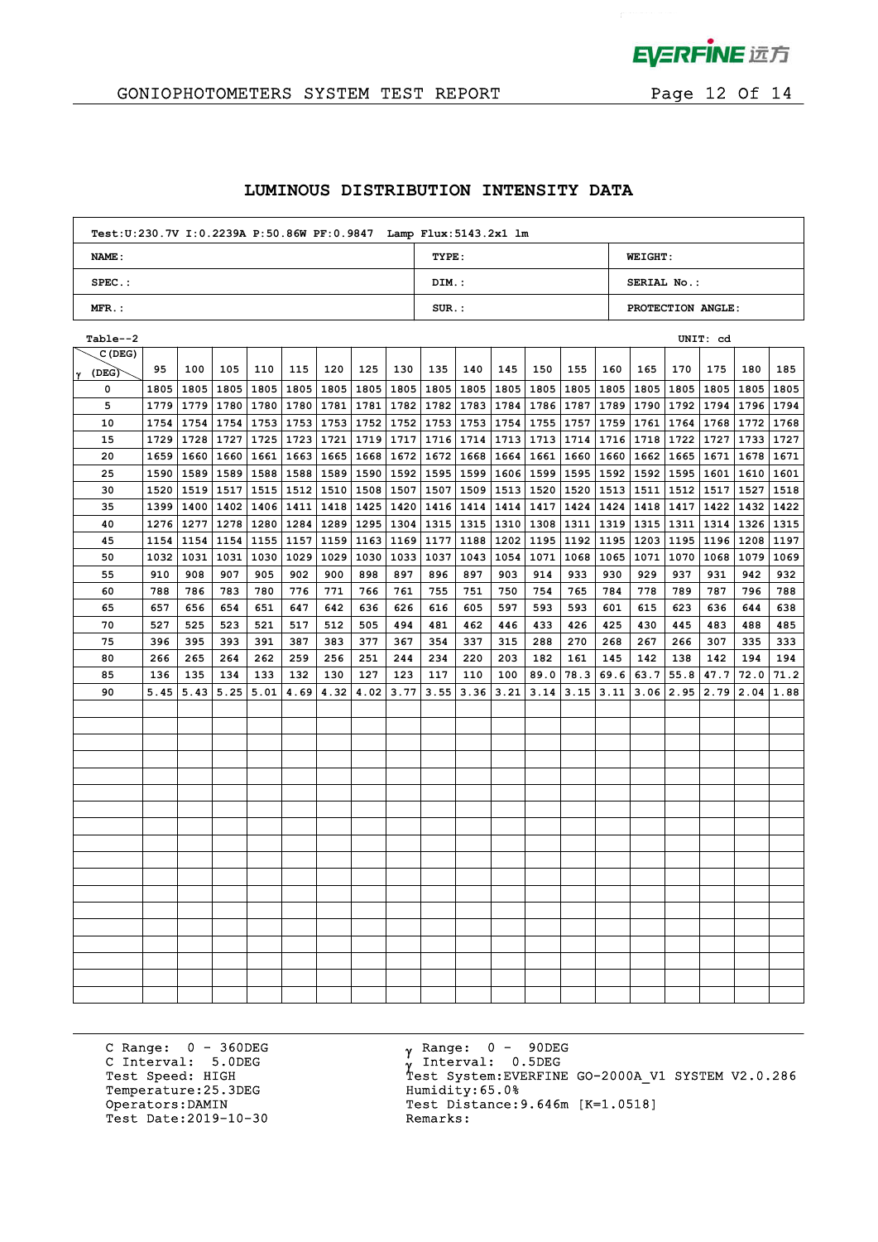

 $\mathcal{L}^{\mathcal{L}}$ 

## GONIOPHOTOMETERS SYSTEM TEST REPORT FOR Page 12 Of 14

### **LUMINOUS DISTRIBUTION INTENSITY DATA**

| Test: U:230.7V I: 0.2239A P:50.86W PF: 0.9847 Lamp Flux: 5143.2x1 lm |          |                   |
|----------------------------------------------------------------------|----------|-------------------|
| NAME:                                                                | TYPE:    | <b>WEIGHT:</b>    |
| $SPEC.$ :                                                            | DIM.:    | SERIAL No.:       |
| $MFR.$ :                                                             | $SUR.$ : | PROTECTION ANGLE: |

| Table--2   |      |      |      |      |                           |      |      |             |             |             |      |      |           |             |      |      | UNIT: cd  |                    |      |
|------------|------|------|------|------|---------------------------|------|------|-------------|-------------|-------------|------|------|-----------|-------------|------|------|-----------|--------------------|------|
| C (DEG)    |      |      |      |      |                           |      |      |             |             |             |      |      |           |             |      |      |           |                    |      |
| (DEG)<br>Y | 95   | 100  | 105  | 110  | 115                       | 120  | 125  | 130         | 135         | 140         | 145  | 150  | 155       | 160         | 165  | 170  | 175       | 180                | 185  |
| 0          | 1805 | 1805 | 1805 |      | 1805   1805               | 1805 | 1805 | 1805        |             | 1805   1805 | 1805 | 1805 | 1805      | 1805   1805 |      | 1805 | 1805      | 1805               | 1805 |
| 5          | 1779 |      |      |      | 1779   1780   1780   1780 | 1781 |      | 1781   1782 | 1782 1783   |             | 1784 |      | 1786 1787 | 1789 1790   |      |      | 1792 1794 | 1796 1794          |      |
| 10         | 1754 | 1754 | 1754 |      | 1753   1753   1753        |      | 1752 | 1752        | 1753 1753   |             | 1754 | 1755 | 1757      | 1759   1761 |      |      | 1764 1768 | 1772 1768          |      |
| 15         | 1729 | 1728 | 1727 |      | 1725 1723                 | 1721 | 1719 | 1717        | 1716 1714   |             | 1713 | 1713 | 1714      | 1716   1718 |      | 1722 | 1727      | 1733 1727          |      |
| 20         | 1659 | 1660 | 1660 |      | 1661   1663               | 1665 | 1668 | 1672        | 1672 1668   |             | 1664 | 1661 | 1660      | 1660 1662   |      | 1665 | 1671      | 1678   1671        |      |
| 25         | 1590 | 1589 | 1589 |      | 1588 1588                 | 1589 | 1590 | 1592        | 1595 1599   |             | 1606 | 1599 | 1595      | 1592 1592   |      | 1595 | 1601      | 1610               | 1601 |
| 30         | 1520 | 1519 | 1517 |      | 1515   1512   1510        |      | 1508 | 1507        | 1507   1509 |             | 1513 | 1520 | 1520      | 1513 1511   |      | 1512 | 1517      | 1527   1518        |      |
| 35         | 1399 | 1400 | 1402 |      | 1406 1411                 | 1418 | 1425 | 1420        | 1416 1414   |             | 1414 | 1417 | 1424      | 1424 1418   |      | 1417 |           | 1422   1432   1422 |      |
| 40         | 1276 | 1277 |      |      | $1278$   1280   1284      | 1289 | 1295 | 1304        | 1315   1315 |             | 1310 | 1308 | 1311      | 1319   1315 |      | 1311 | 1314      | 1326   1315        |      |
| 45         | 1154 | 1154 | 1154 |      | 1155   1157               | 1159 | 1163 | 1169        | 1177 1188   |             | 1202 |      | 1195 1192 | 1195   1203 |      | 1195 | 1196      | 1208 1197          |      |
| 50         | 1032 | 1031 | 1031 |      | 1030   1029               | 1029 | 1030 | 1033        | 1037        | 1043        | 1054 | 1071 | 1068      | 1065   1071 |      | 1070 | 1068      | 1079               | 1069 |
| 55         | 910  | 908  | 907  | 905  | 902                       | 900  | 898  | 897         | 896         | 897         | 903  | 914  | 933       | 930         | 929  | 937  | 931       | 942                | 932  |
| 60         | 788  | 786  | 783  | 780  | 776                       | 771  | 766  | 761         | 755         | 751         | 750  | 754  | 765       | 784         | 778  | 789  | 787       | 796                | 788  |
| 65         | 657  | 656  | 654  | 651  | 647                       | 642  | 636  | 626         | 616         | 605         | 597  | 593  | 593       | 601         | 615  | 623  | 636       | 644                | 638  |
| 70         | 527  | 525  | 523  | 521  | 517                       | 512  | 505  | 494         | 481         | 462         | 446  | 433  | 426       | 425         | 430  | 445  | 483       | 488                | 485  |
| 75         | 396  | 395  | 393  | 391  | 387                       | 383  | 377  | 367         | 354         | 337         | 315  | 288  | 270       | 268         | 267  | 266  | 307       | 335                | 333  |
| 80         | 266  | 265  | 264  | 262  | 259                       | 256  | 251  | 244         | 234         | 220         | 203  | 182  | 161       | 145         | 142  | 138  | 142       | 194                | 194  |
| 85         | 136  | 135  | 134  | 133  | 132                       | 130  | 127  | 123         | 117         | 110         | 100  | 89.0 | 78.3      | 69.6        | 63.7 | 55.8 | 47.7      | 72.0               | 71.2 |
| 90         | 5.45 | 5.43 | 5.25 | 5.01 | 4.69                      | 4.32 | 4.02 | 3.77        | 3.55        | 3.36        | 3.21 | 3.14 | 3.15      | 3.11        | 3.06 | 2.95 | 2.79      | 2.04               | 1.88 |
|            |      |      |      |      |                           |      |      |             |             |             |      |      |           |             |      |      |           |                    |      |
|            |      |      |      |      |                           |      |      |             |             |             |      |      |           |             |      |      |           |                    |      |
|            |      |      |      |      |                           |      |      |             |             |             |      |      |           |             |      |      |           |                    |      |
|            |      |      |      |      |                           |      |      |             |             |             |      |      |           |             |      |      |           |                    |      |
|            |      |      |      |      |                           |      |      |             |             |             |      |      |           |             |      |      |           |                    |      |
|            |      |      |      |      |                           |      |      |             |             |             |      |      |           |             |      |      |           |                    |      |
|            |      |      |      |      |                           |      |      |             |             |             |      |      |           |             |      |      |           |                    |      |
|            |      |      |      |      |                           |      |      |             |             |             |      |      |           |             |      |      |           |                    |      |
|            |      |      |      |      |                           |      |      |             |             |             |      |      |           |             |      |      |           |                    |      |
|            |      |      |      |      |                           |      |      |             |             |             |      |      |           |             |      |      |           |                    |      |
|            |      |      |      |      |                           |      |      |             |             |             |      |      |           |             |      |      |           |                    |      |
|            |      |      |      |      |                           |      |      |             |             |             |      |      |           |             |      |      |           |                    |      |
|            |      |      |      |      |                           |      |      |             |             |             |      |      |           |             |      |      |           |                    |      |
|            |      |      |      |      |                           |      |      |             |             |             |      |      |           |             |      |      |           |                    |      |
|            |      |      |      |      |                           |      |      |             |             |             |      |      |           |             |      |      |           |                    |      |
|            |      |      |      |      |                           |      |      |             |             |             |      |      |           |             |      |      |           |                    |      |
|            |      |      |      |      |                           |      |      |             |             |             |      |      |           |             |      |      |           |                    |      |
|            |      |      |      |      |                           |      |      |             |             |             |      |      |           |             |      |      |           |                    |      |

C Range: 0 - 360DEG C Interval: 5.0DEG Temperature:25.3DEG Humidity:65.0%<br>Operators:DAMIN Test Distance: Test Date: 2019-10-30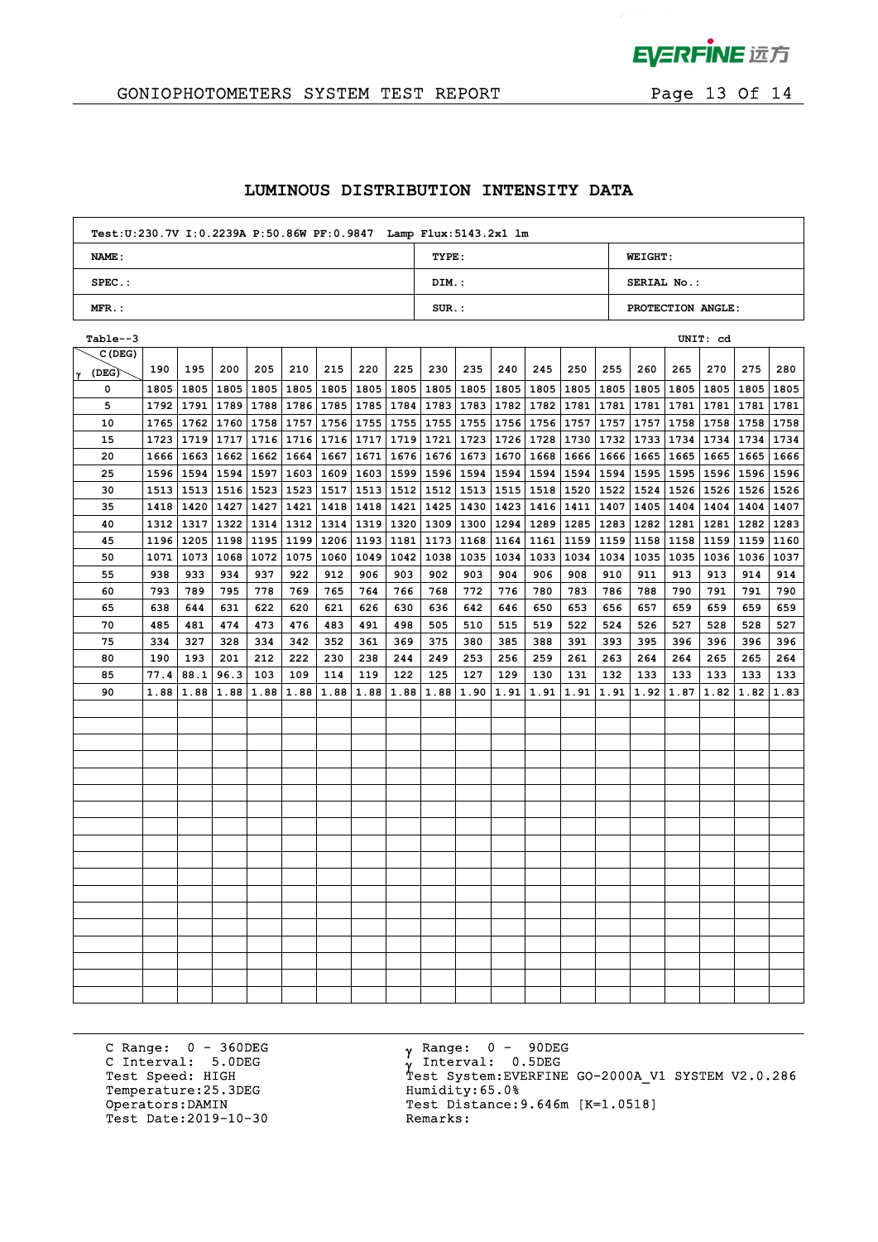

 $\mathcal{L}^{\mathcal{L}}$ 

## GONIOPHOTOMETERS SYSTEM TEST REPORT FOR Page 13 Of 14

### **LUMINOUS DISTRIBUTION INTENSITY DATA**

| Test: U:230.7V I: 0.2239A P:50.86W PF: 0.9847 Lamp Flux: 5143.2x1 lm |          |                   |
|----------------------------------------------------------------------|----------|-------------------|
| NAME:                                                                | TYPE:    | <b>WEIGHT:</b>    |
| $SPEC.$ :                                                            | DIM.:    | SERIAL No.:       |
| $MFR.$ :                                                             | $SUR.$ : | PROTECTION ANGLE: |

| Table--3   |      |             |      |      |                           |      |      |      |                           |      |      |      |             |             |             |      | UNIT: cd                  |                    |      |
|------------|------|-------------|------|------|---------------------------|------|------|------|---------------------------|------|------|------|-------------|-------------|-------------|------|---------------------------|--------------------|------|
| C (DEG)    |      |             |      |      |                           |      |      |      |                           |      |      |      |             |             |             |      |                           |                    |      |
| (DEG)<br>Y | 190  | 195         | 200  | 205  | 210                       | 215  | 220  | 225  | 230                       | 235  | 240  | 245  | 250         | 255         | 260         | 265  | 270                       | 275                | 280  |
| 0          | 1805 | 1805        | 1805 |      | 1805   1805               | 1805 | 1805 | 1805 | 1805   1805               |      | 1805 | 1805 | 1805        |             | 1805   1805 | 1805 | 1805                      | 1805               | 1805 |
| 5          | 1792 | 1791   1789 |      |      | 1788   1786               | 1785 | 1785 | 1784 | 1783 1783                 |      | 1782 |      | 1782 1781   |             | 1781   1781 |      | 1781   1781               | 1781   1781        |      |
| 10         | 1765 | 1762        | 1760 |      | $1758$   1757             | 1756 | 1755 | 1755 | 1755   1755               |      | 1756 | 1756 | 1757        |             | 1757   1757 |      | 1758 1758                 | 1758   1758        |      |
| 15         | 1723 | 1719        | 1717 |      | 1716 1716                 | 1716 | 1717 | 1719 | 1721 1723                 |      | 1726 | 1728 | 1730        |             | 1732   1733 | 1734 | 1734                      | 1734               | 1734 |
| 20         | 1666 | 1663        | 1662 |      | 1662   1664               | 1667 | 1671 | 1676 | 1676 1673                 |      | 1670 | 1668 | 1666        | 1666 1665   |             | 1665 | 1665                      | 1665   1666        |      |
| 25         | 1596 | 1594        | 1594 |      | 1597 1603                 | 1609 | 1603 | 1599 | 1596 1594                 |      | 1594 | 1594 | 1594        |             | 1594 1595   | 1595 | 1596                      | 1596 1596          |      |
| 30         | 1513 | 1513        |      |      | 1516   1523   1523   1517 |      |      |      | 1513   1512   1512   1513 |      | 1515 |      | 1518   1520 | 1522 1524   |             |      | 1526   1526   1526   1526 |                    |      |
| 35         | 1418 | 1420        | 1427 |      | 1427   1421               | 1418 | 1418 | 1421 | 1425 1430                 |      | 1423 |      | 1416 1411   |             | 1407   1405 | 1404 |                           | 1404   1404   1407 |      |
| 40         | 1312 | 1317        |      |      | $1322$   1314   1312      | 1314 | 1319 | 1320 | 1309 1300                 |      | 1294 | 1289 | 1285        | 1283   1282 |             | 1281 | 1281                      | 1282 1283          |      |
| 45         | 1196 | 1205        |      |      | 1198   1195   1199        | 1206 | 1193 | 1181 | 1173 1168                 |      | 1164 | 1161 | 1159        | 1159   1158 |             | 1158 | 1159                      | 1159   1160        |      |
| 50         | 1071 | 1073        | 1068 |      | 1072   1075               | 1060 | 1049 | 1042 | 1038 1035                 |      | 1034 | 1033 | 1034        | 1034        | 1035        | 1035 | 1036                      | 1036 1037          |      |
| 55         | 938  | 933         | 934  | 937  | 922                       | 912  | 906  | 903  | 902                       | 903  | 904  | 906  | 908         | 910         | 911         | 913  | 913                       | 914                | 914  |
| 60         | 793  | 789         | 795  | 778  | 769                       | 765  | 764  | 766  | 768                       | 772  | 776  | 780  | 783         | 786         | 788         | 790  | 791                       | 791                | 790  |
| 65         | 638  | 644         | 631  | 622  | 620                       | 621  | 626  | 630  | 636                       | 642  | 646  | 650  | 653         | 656         | 657         | 659  | 659                       | 659                | 659  |
| 70         | 485  | 481         | 474  | 473  | 476                       | 483  | 491  | 498  | 505                       | 510  | 515  | 519  | 522         | 524         | 526         | 527  | 528                       | 528                | 527  |
| 75         | 334  | 327         | 328  | 334  | 342                       | 352  | 361  | 369  | 375                       | 380  | 385  | 388  | 391         | 393         | 395         | 396  | 396                       | 396                | 396  |
| 80         | 190  | 193         | 201  | 212  | 222                       | 230  | 238  | 244  | 249                       | 253  | 256  | 259  | 261         | 263         | 264         | 264  | 265                       | 265                | 264  |
| 85         | 77.4 | 88.1        | 96.3 | 103  | 109                       | 114  | 119  | 122  | 125                       | 127  | 129  | 130  | 131         | 132         | 133         | 133  | 133                       | 133                | 133  |
| 90         | 1.88 | 1.88        | 1.88 | 1.88 | 1.88                      | 1.88 | 1.88 | 1.88 | 1.88                      | 1.90 | 1.91 | 1.91 | 1.91        | 1.91        | 1.92        | 1.87 | 1.82                      | 1.82               | 1.83 |
|            |      |             |      |      |                           |      |      |      |                           |      |      |      |             |             |             |      |                           |                    |      |
|            |      |             |      |      |                           |      |      |      |                           |      |      |      |             |             |             |      |                           |                    |      |
|            |      |             |      |      |                           |      |      |      |                           |      |      |      |             |             |             |      |                           |                    |      |
|            |      |             |      |      |                           |      |      |      |                           |      |      |      |             |             |             |      |                           |                    |      |
|            |      |             |      |      |                           |      |      |      |                           |      |      |      |             |             |             |      |                           |                    |      |
|            |      |             |      |      |                           |      |      |      |                           |      |      |      |             |             |             |      |                           |                    |      |
|            |      |             |      |      |                           |      |      |      |                           |      |      |      |             |             |             |      |                           |                    |      |
|            |      |             |      |      |                           |      |      |      |                           |      |      |      |             |             |             |      |                           |                    |      |
|            |      |             |      |      |                           |      |      |      |                           |      |      |      |             |             |             |      |                           |                    |      |
|            |      |             |      |      |                           |      |      |      |                           |      |      |      |             |             |             |      |                           |                    |      |
|            |      |             |      |      |                           |      |      |      |                           |      |      |      |             |             |             |      |                           |                    |      |
|            |      |             |      |      |                           |      |      |      |                           |      |      |      |             |             |             |      |                           |                    |      |
|            |      |             |      |      |                           |      |      |      |                           |      |      |      |             |             |             |      |                           |                    |      |
|            |      |             |      |      |                           |      |      |      |                           |      |      |      |             |             |             |      |                           |                    |      |
|            |      |             |      |      |                           |      |      |      |                           |      |      |      |             |             |             |      |                           |                    |      |
|            |      |             |      |      |                           |      |      |      |                           |      |      |      |             |             |             |      |                           |                    |      |
|            |      |             |      |      |                           |      |      |      |                           |      |      |      |             |             |             |      |                           |                    |      |
|            |      |             |      |      |                           |      |      |      |                           |      |      |      |             |             |             |      |                           |                    |      |

C Range: 0 - 360DEG C Interval: 5.0DEG Temperature:25.3DEG Humidity:65.0%<br>Operators:DAMIN Test Distance: Test Date: 2019-10-30